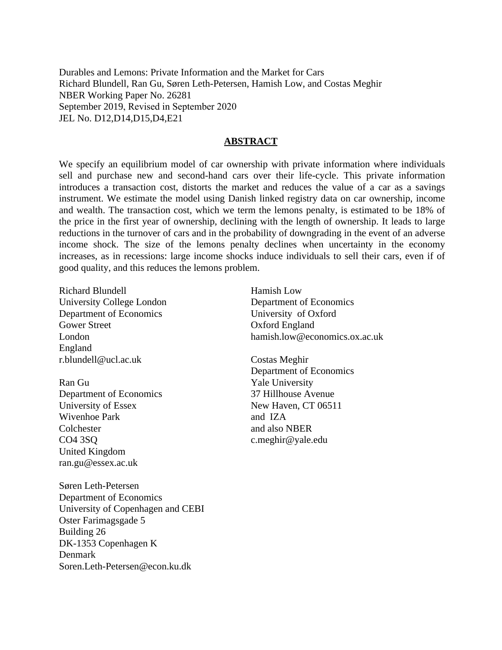Durables and Lemons: Private Information and the Market for Cars Richard Blundell, Ran Gu, Søren Leth-Petersen, Hamish Low, and Costas Meghir NBER Working Paper No. 26281 September 2019, Revised in September 2020 JEL No. D12,D14,D15,D4,E21

### **ABSTRACT**

We specify an equilibrium model of car ownership with private information where individuals sell and purchase new and second-hand cars over their life-cycle. This private information introduces a transaction cost, distorts the market and reduces the value of a car as a savings instrument. We estimate the model using Danish linked registry data on car ownership, income and wealth. The transaction cost, which we term the lemons penalty, is estimated to be 18% of the price in the first year of ownership, declining with the length of ownership. It leads to large reductions in the turnover of cars and in the probability of downgrading in the event of an adverse income shock. The size of the lemons penalty declines when uncertainty in the economy increases, as in recessions: large income shocks induce individuals to sell their cars, even if of good quality, and this reduces the lemons problem.

Richard Blundell University College London Department of Economics Gower Street London England r.blundell@ucl.ac.uk

Ran Gu Department of Economics University of Essex Wivenhoe Park Colchester CO4 3SQ United Kingdom ran.gu@essex.ac.uk

Søren Leth-Petersen Department of Economics University of Copenhagen and CEBI Oster Farimagsgade 5 Building 26 DK-1353 Copenhagen K Denmark Soren.Leth-Petersen@econ.ku.dk

Hamish Low Department of Economics University of Oxford Oxford England hamish.low@economics.ox.ac.uk

Costas Meghir Department of Economics Yale University 37 Hillhouse Avenue New Haven, CT 06511 and IZA and also NBER c.meghir@yale.edu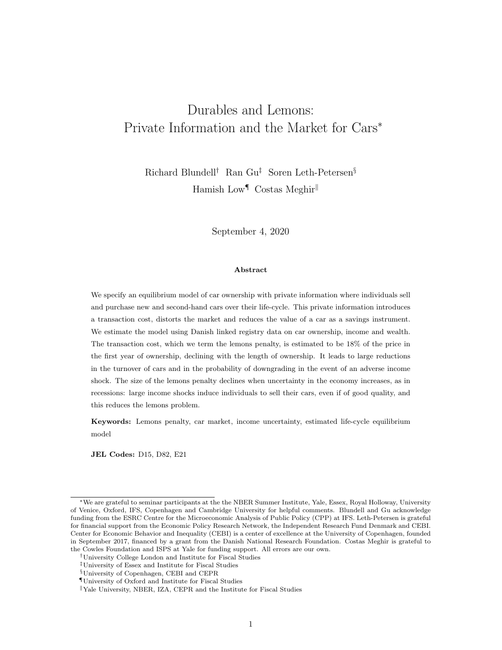# Durables and Lemons: Private Information and the Market for Cars<sup>∗</sup>

Richard Blundell† Ran Gu‡ Soren Leth-Petersen§ Hamish Low<sup>¶</sup> Costas Meghir

September 4, 2020

#### Abstract

We specify an equilibrium model of car ownership with private information where individuals sell and purchase new and second-hand cars over their life-cycle. This private information introduces a transaction cost, distorts the market and reduces the value of a car as a savings instrument. We estimate the model using Danish linked registry data on car ownership, income and wealth. The transaction cost, which we term the lemons penalty, is estimated to be 18% of the price in the first year of ownership, declining with the length of ownership. It leads to large reductions in the turnover of cars and in the probability of downgrading in the event of an adverse income shock. The size of the lemons penalty declines when uncertainty in the economy increases, as in recessions: large income shocks induce individuals to sell their cars, even if of good quality, and this reduces the lemons problem.

Keywords: Lemons penalty, car market, income uncertainty, estimated life-cycle equilibrium model

JEL Codes: D15, D82, E21

<sup>∗</sup>We are grateful to seminar participants at the the NBER Summer Institute, Yale, Essex, Royal Holloway, University of Venice, Oxford, IFS, Copenhagen and Cambridge University for helpful comments. Blundell and Gu acknowledge funding from the ESRC Centre for the Microeconomic Analysis of Public Policy (CPP) at IFS. Leth-Petersen is grateful for financial support from the Economic Policy Research Network, the Independent Research Fund Denmark and CEBI. Center for Economic Behavior and Inequality (CEBI) is a center of excellence at the University of Copenhagen, founded in September 2017, financed by a grant from the Danish National Research Foundation. Costas Meghir is grateful to the Cowles Foundation and ISPS at Yale for funding support. All errors are our own.

<sup>†</sup>University College London and Institute for Fiscal Studies

<sup>‡</sup>University of Essex and Institute for Fiscal Studies

<sup>§</sup>University of Copenhagen, CEBI and CEPR

 $\P$  University of Oxford and Institute for Fiscal Studies

<sup>&</sup>lt;sup>||</sup>Yale University, NBER, IZA, CEPR and the Institute for Fiscal Studies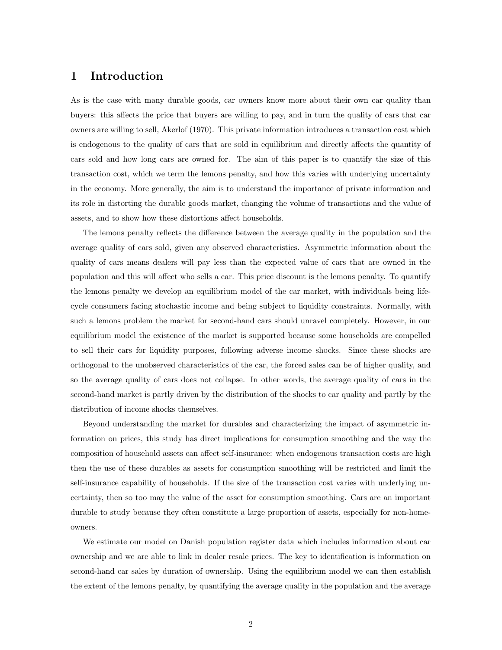### 1 Introduction

As is the case with many durable goods, car owners know more about their own car quality than buyers: this affects the price that buyers are willing to pay, and in turn the quality of cars that car owners are willing to sell, Akerlof (1970). This private information introduces a transaction cost which is endogenous to the quality of cars that are sold in equilibrium and directly affects the quantity of cars sold and how long cars are owned for. The aim of this paper is to quantify the size of this transaction cost, which we term the lemons penalty, and how this varies with underlying uncertainty in the economy. More generally, the aim is to understand the importance of private information and its role in distorting the durable goods market, changing the volume of transactions and the value of assets, and to show how these distortions affect households.

The lemons penalty reflects the difference between the average quality in the population and the average quality of cars sold, given any observed characteristics. Asymmetric information about the quality of cars means dealers will pay less than the expected value of cars that are owned in the population and this will affect who sells a car. This price discount is the lemons penalty. To quantify the lemons penalty we develop an equilibrium model of the car market, with individuals being lifecycle consumers facing stochastic income and being subject to liquidity constraints. Normally, with such a lemons problem the market for second-hand cars should unravel completely. However, in our equilibrium model the existence of the market is supported because some households are compelled to sell their cars for liquidity purposes, following adverse income shocks. Since these shocks are orthogonal to the unobserved characteristics of the car, the forced sales can be of higher quality, and so the average quality of cars does not collapse. In other words, the average quality of cars in the second-hand market is partly driven by the distribution of the shocks to car quality and partly by the distribution of income shocks themselves.

Beyond understanding the market for durables and characterizing the impact of asymmetric information on prices, this study has direct implications for consumption smoothing and the way the composition of household assets can affect self-insurance: when endogenous transaction costs are high then the use of these durables as assets for consumption smoothing will be restricted and limit the self-insurance capability of households. If the size of the transaction cost varies with underlying uncertainty, then so too may the value of the asset for consumption smoothing. Cars are an important durable to study because they often constitute a large proportion of assets, especially for non-homeowners.

We estimate our model on Danish population register data which includes information about car ownership and we are able to link in dealer resale prices. The key to identification is information on second-hand car sales by duration of ownership. Using the equilibrium model we can then establish the extent of the lemons penalty, by quantifying the average quality in the population and the average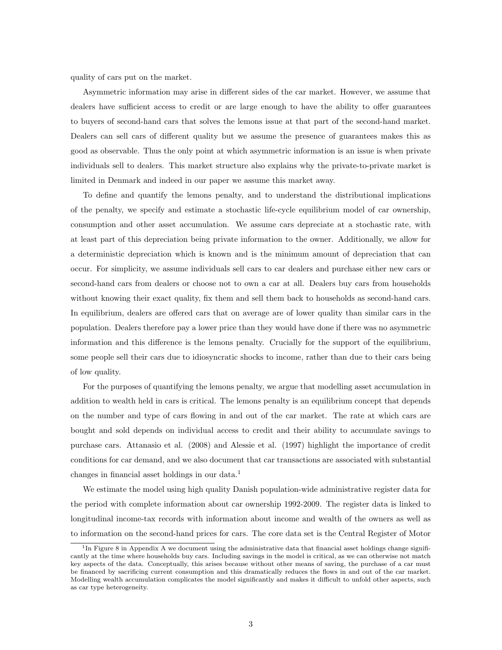quality of cars put on the market.

Asymmetric information may arise in different sides of the car market. However, we assume that dealers have sufficient access to credit or are large enough to have the ability to offer guarantees to buyers of second-hand cars that solves the lemons issue at that part of the second-hand market. Dealers can sell cars of different quality but we assume the presence of guarantees makes this as good as observable. Thus the only point at which asymmetric information is an issue is when private individuals sell to dealers. This market structure also explains why the private-to-private market is limited in Denmark and indeed in our paper we assume this market away.

To define and quantify the lemons penalty, and to understand the distributional implications of the penalty, we specify and estimate a stochastic life-cycle equilibrium model of car ownership, consumption and other asset accumulation. We assume cars depreciate at a stochastic rate, with at least part of this depreciation being private information to the owner. Additionally, we allow for a deterministic depreciation which is known and is the minimum amount of depreciation that can occur. For simplicity, we assume individuals sell cars to car dealers and purchase either new cars or second-hand cars from dealers or choose not to own a car at all. Dealers buy cars from households without knowing their exact quality, fix them and sell them back to households as second-hand cars. In equilibrium, dealers are offered cars that on average are of lower quality than similar cars in the population. Dealers therefore pay a lower price than they would have done if there was no asymmetric information and this difference is the lemons penalty. Crucially for the support of the equilibrium, some people sell their cars due to idiosyncratic shocks to income, rather than due to their cars being of low quality.

For the purposes of quantifying the lemons penalty, we argue that modelling asset accumulation in addition to wealth held in cars is critical. The lemons penalty is an equilibrium concept that depends on the number and type of cars flowing in and out of the car market. The rate at which cars are bought and sold depends on individual access to credit and their ability to accumulate savings to purchase cars. Attanasio et al. (2008) and Alessie et al. (1997) highlight the importance of credit conditions for car demand, and we also document that car transactions are associated with substantial changes in financial asset holdings in our data.<sup>1</sup>

We estimate the model using high quality Danish population-wide administrative register data for the period with complete information about car ownership 1992-2009. The register data is linked to longitudinal income-tax records with information about income and wealth of the owners as well as to information on the second-hand prices for cars. The core data set is the Central Register of Motor

<sup>&</sup>lt;sup>1</sup>In Figure 8 in Appendix A we document using the administrative data that financial asset holdings change significantly at the time where households buy cars. Including savings in the model is critical, as we can otherwise not match key aspects of the data. Conceptually, this arises because without other means of saving, the purchase of a car must be financed by sacrificing current consumption and this dramatically reduces the flows in and out of the car market. Modelling wealth accumulation complicates the model significantly and makes it difficult to unfold other aspects, such as car type heterogeneity.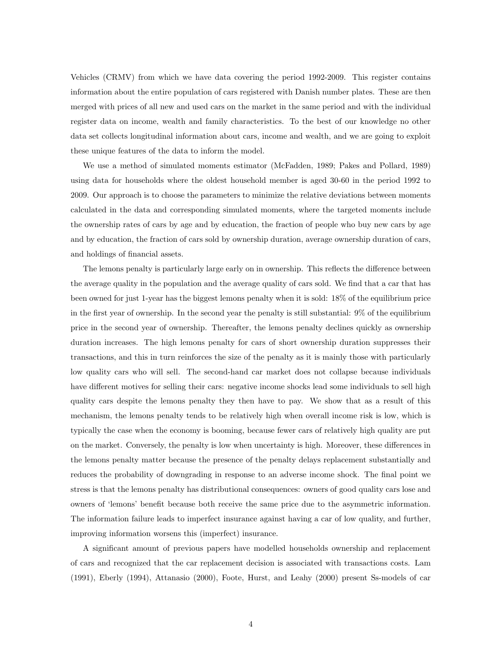Vehicles (CRMV) from which we have data covering the period 1992-2009. This register contains information about the entire population of cars registered with Danish number plates. These are then merged with prices of all new and used cars on the market in the same period and with the individual register data on income, wealth and family characteristics. To the best of our knowledge no other data set collects longitudinal information about cars, income and wealth, and we are going to exploit these unique features of the data to inform the model.

We use a method of simulated moments estimator (McFadden, 1989; Pakes and Pollard, 1989) using data for households where the oldest household member is aged 30-60 in the period 1992 to 2009. Our approach is to choose the parameters to minimize the relative deviations between moments calculated in the data and corresponding simulated moments, where the targeted moments include the ownership rates of cars by age and by education, the fraction of people who buy new cars by age and by education, the fraction of cars sold by ownership duration, average ownership duration of cars, and holdings of financial assets.

The lemons penalty is particularly large early on in ownership. This reflects the difference between the average quality in the population and the average quality of cars sold. We find that a car that has been owned for just 1-year has the biggest lemons penalty when it is sold: 18% of the equilibrium price in the first year of ownership. In the second year the penalty is still substantial: 9% of the equilibrium price in the second year of ownership. Thereafter, the lemons penalty declines quickly as ownership duration increases. The high lemons penalty for cars of short ownership duration suppresses their transactions, and this in turn reinforces the size of the penalty as it is mainly those with particularly low quality cars who will sell. The second-hand car market does not collapse because individuals have different motives for selling their cars: negative income shocks lead some individuals to sell high quality cars despite the lemons penalty they then have to pay. We show that as a result of this mechanism, the lemons penalty tends to be relatively high when overall income risk is low, which is typically the case when the economy is booming, because fewer cars of relatively high quality are put on the market. Conversely, the penalty is low when uncertainty is high. Moreover, these differences in the lemons penalty matter because the presence of the penalty delays replacement substantially and reduces the probability of downgrading in response to an adverse income shock. The final point we stress is that the lemons penalty has distributional consequences: owners of good quality cars lose and owners of 'lemons' benefit because both receive the same price due to the asymmetric information. The information failure leads to imperfect insurance against having a car of low quality, and further, improving information worsens this (imperfect) insurance.

A significant amount of previous papers have modelled households ownership and replacement of cars and recognized that the car replacement decision is associated with transactions costs. Lam (1991), Eberly (1994), Attanasio (2000), Foote, Hurst, and Leahy (2000) present Ss-models of car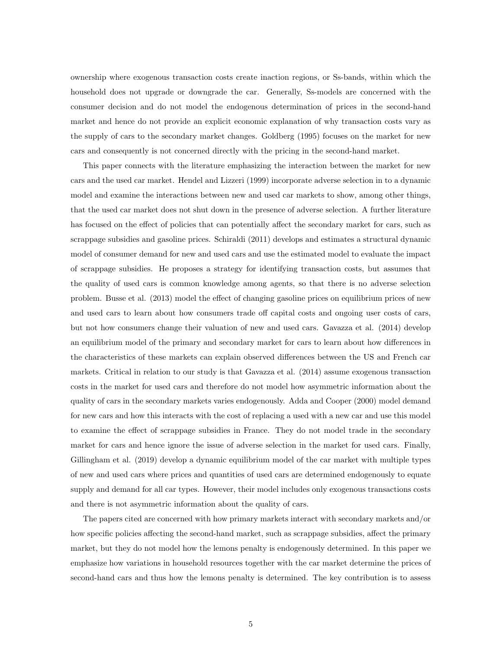ownership where exogenous transaction costs create inaction regions, or Ss-bands, within which the household does not upgrade or downgrade the car. Generally, Ss-models are concerned with the consumer decision and do not model the endogenous determination of prices in the second-hand market and hence do not provide an explicit economic explanation of why transaction costs vary as the supply of cars to the secondary market changes. Goldberg (1995) focuses on the market for new cars and consequently is not concerned directly with the pricing in the second-hand market.

This paper connects with the literature emphasizing the interaction between the market for new cars and the used car market. Hendel and Lizzeri (1999) incorporate adverse selection in to a dynamic model and examine the interactions between new and used car markets to show, among other things, that the used car market does not shut down in the presence of adverse selection. A further literature has focused on the effect of policies that can potentially affect the secondary market for cars, such as scrappage subsidies and gasoline prices. Schiraldi (2011) develops and estimates a structural dynamic model of consumer demand for new and used cars and use the estimated model to evaluate the impact of scrappage subsidies. He proposes a strategy for identifying transaction costs, but assumes that the quality of used cars is common knowledge among agents, so that there is no adverse selection problem. Busse et al. (2013) model the effect of changing gasoline prices on equilibrium prices of new and used cars to learn about how consumers trade off capital costs and ongoing user costs of cars, but not how consumers change their valuation of new and used cars. Gavazza et al. (2014) develop an equilibrium model of the primary and secondary market for cars to learn about how differences in the characteristics of these markets can explain observed differences between the US and French car markets. Critical in relation to our study is that Gavazza et al. (2014) assume exogenous transaction costs in the market for used cars and therefore do not model how asymmetric information about the quality of cars in the secondary markets varies endogenously. Adda and Cooper (2000) model demand for new cars and how this interacts with the cost of replacing a used with a new car and use this model to examine the effect of scrappage subsidies in France. They do not model trade in the secondary market for cars and hence ignore the issue of adverse selection in the market for used cars. Finally, Gillingham et al. (2019) develop a dynamic equilibrium model of the car market with multiple types of new and used cars where prices and quantities of used cars are determined endogenously to equate supply and demand for all car types. However, their model includes only exogenous transactions costs and there is not asymmetric information about the quality of cars.

The papers cited are concerned with how primary markets interact with secondary markets and/or how specific policies affecting the second-hand market, such as scrappage subsidies, affect the primary market, but they do not model how the lemons penalty is endogenously determined. In this paper we emphasize how variations in household resources together with the car market determine the prices of second-hand cars and thus how the lemons penalty is determined. The key contribution is to assess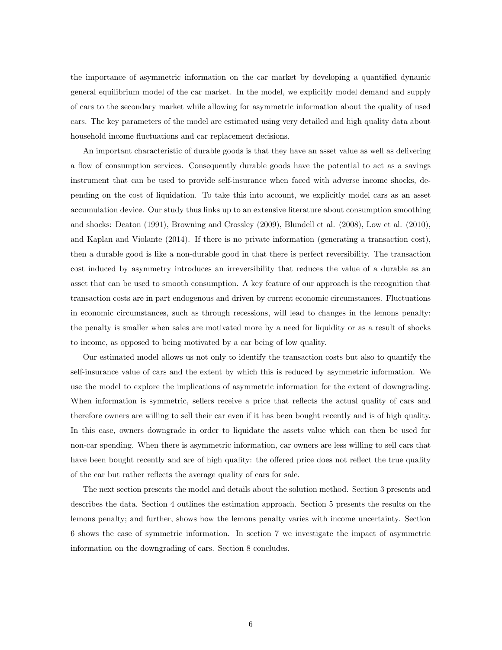the importance of asymmetric information on the car market by developing a quantified dynamic general equilibrium model of the car market. In the model, we explicitly model demand and supply of cars to the secondary market while allowing for asymmetric information about the quality of used cars. The key parameters of the model are estimated using very detailed and high quality data about household income fluctuations and car replacement decisions.

An important characteristic of durable goods is that they have an asset value as well as delivering a flow of consumption services. Consequently durable goods have the potential to act as a savings instrument that can be used to provide self-insurance when faced with adverse income shocks, depending on the cost of liquidation. To take this into account, we explicitly model cars as an asset accumulation device. Our study thus links up to an extensive literature about consumption smoothing and shocks: Deaton (1991), Browning and Crossley (2009), Blundell et al. (2008), Low et al. (2010), and Kaplan and Violante (2014). If there is no private information (generating a transaction cost), then a durable good is like a non-durable good in that there is perfect reversibility. The transaction cost induced by asymmetry introduces an irreversibility that reduces the value of a durable as an asset that can be used to smooth consumption. A key feature of our approach is the recognition that transaction costs are in part endogenous and driven by current economic circumstances. Fluctuations in economic circumstances, such as through recessions, will lead to changes in the lemons penalty: the penalty is smaller when sales are motivated more by a need for liquidity or as a result of shocks to income, as opposed to being motivated by a car being of low quality.

Our estimated model allows us not only to identify the transaction costs but also to quantify the self-insurance value of cars and the extent by which this is reduced by asymmetric information. We use the model to explore the implications of asymmetric information for the extent of downgrading. When information is symmetric, sellers receive a price that reflects the actual quality of cars and therefore owners are willing to sell their car even if it has been bought recently and is of high quality. In this case, owners downgrade in order to liquidate the assets value which can then be used for non-car spending. When there is asymmetric information, car owners are less willing to sell cars that have been bought recently and are of high quality: the offered price does not reflect the true quality of the car but rather reflects the average quality of cars for sale.

The next section presents the model and details about the solution method. Section 3 presents and describes the data. Section 4 outlines the estimation approach. Section 5 presents the results on the lemons penalty; and further, shows how the lemons penalty varies with income uncertainty. Section 6 shows the case of symmetric information. In section 7 we investigate the impact of asymmetric information on the downgrading of cars. Section 8 concludes.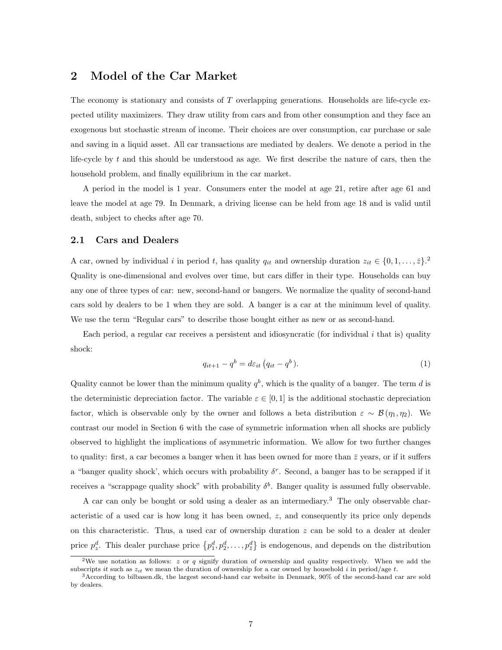### 2 Model of the Car Market

The economy is stationary and consists of T overlapping generations. Households are life-cycle expected utility maximizers. They draw utility from cars and from other consumption and they face an exogenous but stochastic stream of income. Their choices are over consumption, car purchase or sale and saving in a liquid asset. All car transactions are mediated by dealers. We denote a period in the life-cycle by t and this should be understood as age. We first describe the nature of cars, then the household problem, and finally equilibrium in the car market.

A period in the model is 1 year. Consumers enter the model at age 21, retire after age 61 and leave the model at age 79. In Denmark, a driving license can be held from age 18 and is valid until death, subject to checks after age 70.

#### 2.1 Cars and Dealers

A car, owned by individual i in period t, has quality  $q_{it}$  and ownership duration  $z_{it} \in \{0, 1, \ldots, \bar{z}\}$ . Quality is one-dimensional and evolves over time, but cars differ in their type. Households can buy any one of three types of car: new, second-hand or bangers. We normalize the quality of second-hand cars sold by dealers to be 1 when they are sold. A banger is a car at the minimum level of quality. We use the term "Regular cars" to describe those bought either as new or as second-hand.

Each period, a regular car receives a persistent and idiosyncratic (for individual i that is) quality shock:

$$
q_{it+1} - q^b = d\varepsilon_{it} \left( q_{it} - q^b \right). \tag{1}
$$

Quality cannot be lower than the minimum quality  $q<sup>b</sup>$ , which is the quality of a banger. The term d is the deterministic depreciation factor. The variable  $\varepsilon \in [0,1]$  is the additional stochastic depreciation factor, which is observable only by the owner and follows a beta distribution  $\varepsilon \sim \mathcal{B}(\eta_1, \eta_2)$ . We contrast our model in Section 6 with the case of symmetric information when all shocks are publicly observed to highlight the implications of asymmetric information. We allow for two further changes to quality: first, a car becomes a banger when it has been owned for more than  $\bar{z}$  years, or if it suffers a "banger quality shock', which occurs with probability  $\delta^r$ . Second, a banger has to be scrapped if it receives a "scrappage quality shock" with probability  $\delta^b$ . Banger quality is assumed fully observable.

A car can only be bought or sold using a dealer as an intermediary.<sup>3</sup> The only observable characteristic of a used car is how long it has been owned,  $z$ , and consequently its price only depends on this characteristic. Thus, a used car of ownership duration  $z$  can be sold to a dealer at dealer price  $p_z^d$ . This dealer purchase price  $\{p_1^d, p_2^d, \ldots, p_{\bar{z}}^d\}$  is endogenous, and depends on the distribution

<sup>&</sup>lt;sup>2</sup>We use notation as follows: z or q signify duration of ownership and quality respectively. When we add the subscripts it such as  $z_{it}$  we mean the duration of ownership for a car owned by household i in period/age t.

<sup>3</sup>According to bilbasen.dk, the largest second-hand car website in Denmark, 90% of the second-hand car are sold by dealers.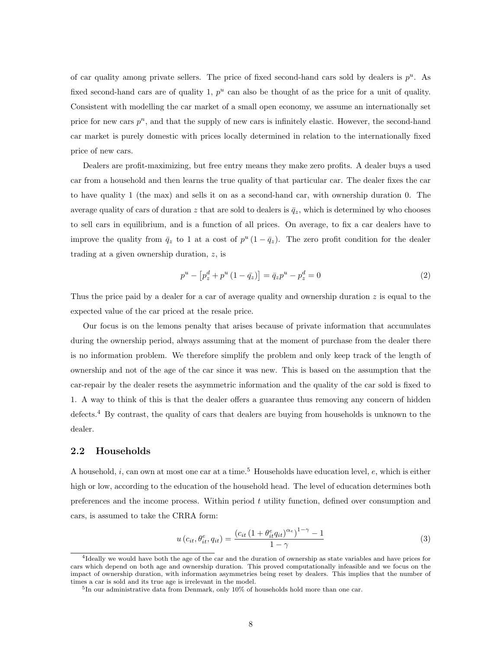of car quality among private sellers. The price of fixed second-hand cars sold by dealers is  $p^u$ . As fixed second-hand cars are of quality 1,  $p^u$  can also be thought of as the price for a unit of quality. Consistent with modelling the car market of a small open economy, we assume an internationally set price for new cars  $p^n$ , and that the supply of new cars is infinitely elastic. However, the second-hand car market is purely domestic with prices locally determined in relation to the internationally fixed price of new cars.

Dealers are profit-maximizing, but free entry means they make zero profits. A dealer buys a used car from a household and then learns the true quality of that particular car. The dealer fixes the car to have quality 1 (the max) and sells it on as a second-hand car, with ownership duration 0. The average quality of cars of duration z that are sold to dealers is  $\bar{q}_z$ , which is determined by who chooses to sell cars in equilibrium, and is a function of all prices. On average, to fix a car dealers have to improve the quality from  $\bar{q}_z$  to 1 at a cost of  $p^u(1-\bar{q}_z)$ . The zero profit condition for the dealer trading at a given ownership duration, z, is

$$
p^{u} - [p_{z}^{d} + p^{u} (1 - \bar{q}_{z})] = \bar{q}_{z} p^{u} - p_{z}^{d} = 0
$$
\n(2)

Thus the price paid by a dealer for a car of average quality and ownership duration  $z$  is equal to the expected value of the car priced at the resale price.

Our focus is on the lemons penalty that arises because of private information that accumulates during the ownership period, always assuming that at the moment of purchase from the dealer there is no information problem. We therefore simplify the problem and only keep track of the length of ownership and not of the age of the car since it was new. This is based on the assumption that the car-repair by the dealer resets the asymmetric information and the quality of the car sold is fixed to 1. A way to think of this is that the dealer offers a guarantee thus removing any concern of hidden defects.<sup>4</sup> By contrast, the quality of cars that dealers are buying from households is unknown to the dealer.

### 2.2 Households

A household, *i*, can own at most one car at a time.<sup>5</sup> Households have education level, *e*, which is either high or low, according to the education of the household head. The level of education determines both preferences and the income process. Within period t utility function, defined over consumption and cars, is assumed to take the CRRA form:

$$
u\left(c_{it}, \theta_{it}^e, q_{it}\right) = \frac{\left(c_{it}\left(1 + \theta_{it}^e q_{it}\right)^{\alpha_e}\right)^{1 - \gamma} - 1}{1 - \gamma} \tag{3}
$$

<sup>4</sup> Ideally we would have both the age of the car and the duration of ownership as state variables and have prices for cars which depend on both age and ownership duration. This proved computationally infeasible and we focus on the impact of ownership duration, with information asymmetries being reset by dealers. This implies that the number of times a car is sold and its true age is irrelevant in the model.

<sup>&</sup>lt;sup>5</sup>In our administrative data from Denmark, only 10% of households hold more than one car.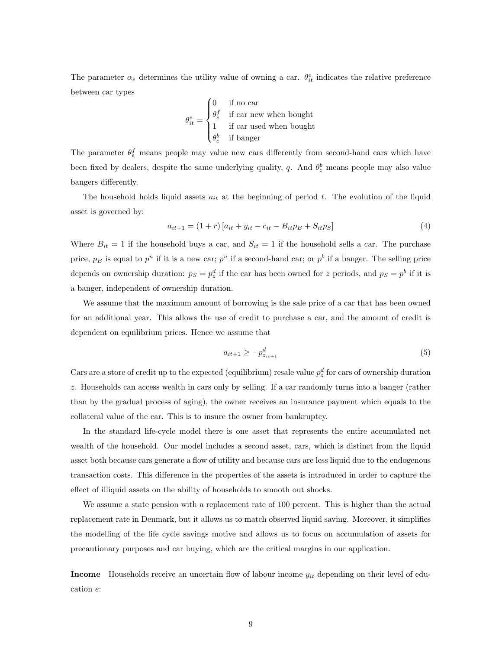The parameter  $\alpha_e$  determines the utility value of owning a car.  $\theta_{it}^e$  indicates the relative preference between car types

$$
\theta_{it}^{e} = \begin{cases} 0 & \text{if no car} \\ \theta_{e}^{f} & \text{if car new when bought} \\ 1 & \text{if car used when bought} \\ \theta_{e}^{b} & \text{if banger} \end{cases}
$$

The parameter  $\theta_e^f$  means people may value new cars differently from second-hand cars which have been fixed by dealers, despite the same underlying quality, q. And  $\theta_e^b$  means people may also value bangers differently.

The household holds liquid assets  $a_{it}$  at the beginning of period t. The evolution of the liquid asset is governed by:

$$
a_{it+1} = (1+r) [a_{it} + y_{it} - c_{it} - B_{it}p_{B} + S_{it}p_{S}] \tag{4}
$$

Where  $B_{it} = 1$  if the household buys a car, and  $S_{it} = 1$  if the household sells a car. The purchase price,  $p_B$  is equal to  $p^n$  if it is a new car;  $p^u$  if a second-hand car; or  $p^b$  if a banger. The selling price depends on ownership duration:  $p_S = p_z^d$  if the car has been owned for z periods, and  $p_S = p^b$  if it is a banger, independent of ownership duration.

We assume that the maximum amount of borrowing is the sale price of a car that has been owned for an additional year. This allows the use of credit to purchase a car, and the amount of credit is dependent on equilibrium prices. Hence we assume that

$$
a_{it+1} \ge -p_{z_{it+1}}^d \tag{5}
$$

Cars are a store of credit up to the expected (equilibrium) resale value  $p_z^d$  for cars of ownership duration z. Households can access wealth in cars only by selling. If a car randomly turns into a banger (rather than by the gradual process of aging), the owner receives an insurance payment which equals to the collateral value of the car. This is to insure the owner from bankruptcy.

In the standard life-cycle model there is one asset that represents the entire accumulated net wealth of the household. Our model includes a second asset, cars, which is distinct from the liquid asset both because cars generate a flow of utility and because cars are less liquid due to the endogenous transaction costs. This difference in the properties of the assets is introduced in order to capture the effect of illiquid assets on the ability of households to smooth out shocks.

We assume a state pension with a replacement rate of 100 percent. This is higher than the actual replacement rate in Denmark, but it allows us to match observed liquid saving. Moreover, it simplifies the modelling of the life cycle savings motive and allows us to focus on accumulation of assets for precautionary purposes and car buying, which are the critical margins in our application.

**Income** Households receive an uncertain flow of labour income  $y_{it}$  depending on their level of education e: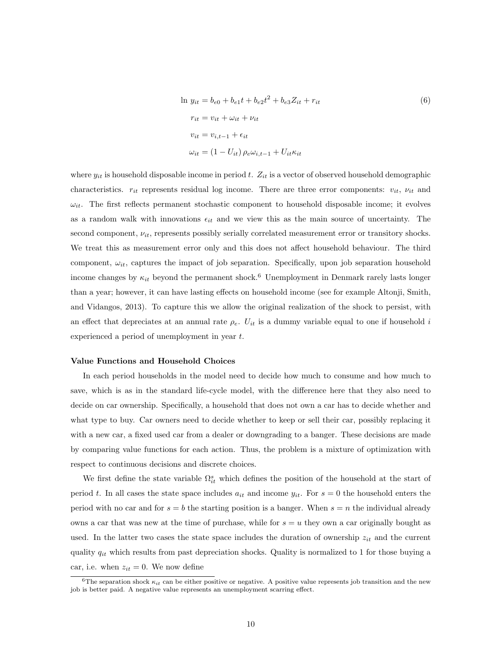$$
\ln y_{it} = b_{e0} + b_{e1}t + b_{e2}t^2 + b_{e3}Z_{it} + r_{it}
$$
  
\n
$$
r_{it} = v_{it} + \omega_{it} + \nu_{it}
$$
  
\n
$$
v_{it} = v_{i,t-1} + \epsilon_{it}
$$
  
\n(6)

 $\omega_{it} = (1 - U_{it}) \rho_e \omega_{i,t-1} + U_{it} \kappa_{it}$ 

where  $y_{it}$  is household disposable income in period t.  $Z_{it}$  is a vector of observed household demographic characteristics.  $r_{it}$  represents residual log income. There are three error components:  $v_{it}$ ,  $v_{it}$  and  $\omega_{it}$ . The first reflects permanent stochastic component to household disposable income; it evolves as a random walk with innovations  $\epsilon_{it}$  and we view this as the main source of uncertainty. The second component,  $\nu_{it}$ , represents possibly serially correlated measurement error or transitory shocks. We treat this as measurement error only and this does not affect household behaviour. The third component,  $\omega_{it}$ , captures the impact of job separation. Specifically, upon job separation household income changes by  $\kappa_{it}$  beyond the permanent shock.<sup>6</sup> Unemployment in Denmark rarely lasts longer than a year; however, it can have lasting effects on household income (see for example Altonji, Smith, and Vidangos, 2013). To capture this we allow the original realization of the shock to persist, with an effect that depreciates at an annual rate  $\rho_e$ .  $U_{it}$  is a dummy variable equal to one if household i experienced a period of unemployment in year t.

#### Value Functions and Household Choices

In each period households in the model need to decide how much to consume and how much to save, which is as in the standard life-cycle model, with the difference here that they also need to decide on car ownership. Specifically, a household that does not own a car has to decide whether and what type to buy. Car owners need to decide whether to keep or sell their car, possibly replacing it with a new car, a fixed used car from a dealer or downgrading to a banger. These decisions are made by comparing value functions for each action. Thus, the problem is a mixture of optimization with respect to continuous decisions and discrete choices.

We first define the state variable  $\Omega_{it}^s$  which defines the position of the household at the start of period t. In all cases the state space includes  $a_{it}$  and income  $y_{it}$ . For  $s = 0$  the household enters the period with no car and for  $s = b$  the starting position is a banger. When  $s = n$  the individual already owns a car that was new at the time of purchase, while for  $s = u$  they own a car originally bought as used. In the latter two cases the state space includes the duration of ownership  $z_{it}$  and the current quality  $q_{it}$  which results from past depreciation shocks. Quality is normalized to 1 for those buying a car, i.e. when  $z_{it} = 0$ . We now define

<sup>&</sup>lt;sup>6</sup>The separation shock  $\kappa_{it}$  can be either positive or negative. A positive value represents job transition and the new job is better paid. A negative value represents an unemployment scarring effect.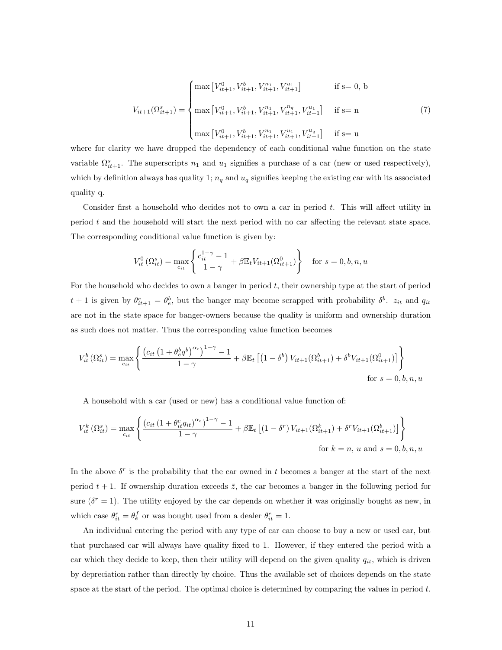$$
V_{it+1}(\Omega_{it+1}^s) = \begin{cases} \max\left[V_{it+1}^0, V_{it+1}^h, V_{it+1}^{n_1}, V_{it+1}^{u_1}\right] & \text{if } s = 0, \ b \\ \max\left[V_{it+1}^0, V_{it+1}^h, V_{it+1}^{n_1}, V_{it+1}^{n_4}, V_{it+1}^{u_1}\right] & \text{if } s = n \\ \max\left[V_{it+1}^0, V_{it+1}^h, V_{it+1}^{n_1}, V_{it+1}^{u_1}, V_{it+1}^{u_4}\right] & \text{if } s = u \end{cases} \tag{7}
$$

where for clarity we have dropped the dependency of each conditional value function on the state variable  $\Omega_{it+1}^s$ . The superscripts  $n_1$  and  $u_1$  signifies a purchase of a car (new or used respectively), which by definition always has quality 1;  $n_q$  and  $u_q$  signifies keeping the existing car with its associated quality q.

Consider first a household who decides not to own a car in period  $t$ . This will affect utility in period t and the household will start the next period with no car affecting the relevant state space. The corresponding conditional value function is given by:

$$
V_{it}^{0}(\Omega_{it}^{s}) = \max_{c_{it}} \left\{ \frac{c_{it}^{1-\gamma} - 1}{1 - \gamma} + \beta \mathbb{E}_{t} V_{it+1}(\Omega_{it+1}^{0}) \right\} \text{ for } s = 0, b, n, u
$$

For the household who decides to own a banger in period t, their ownership type at the start of period  $t+1$  is given by  $\theta_{it+1}^e = \theta_e^b$ , but the banger may become scrapped with probability  $\delta^b$ .  $z_{it}$  and  $q_{it}$ are not in the state space for banger-owners because the quality is uniform and ownership duration as such does not matter. Thus the corresponding value function becomes

$$
V_{it}^{b}(\Omega_{it}^{s}) = \max_{c_{it}} \left\{ \frac{\left(c_{it} \left(1 + \theta_{eq}^{b} \theta\right)^{\alpha_{e}}\right)^{1-\gamma} - 1}{1-\gamma} + \beta \mathbb{E}_{t} \left[ \left(1 - \delta^{b}\right) V_{it+1}(\Omega_{it+1}^{b}) + \delta^{b} V_{it+1}(\Omega_{it+1}^{0}) \right] \right\}
$$
  
for  $s = 0, b, n, u$ 

A household with a car (used or new) has a conditional value function of:

$$
V_{it}^{k}(\Omega_{it}^{s}) = \max_{c_{it}} \left\{ \frac{\left(c_{it} \left(1 + \theta_{it}^{e} q_{it}\right)^{\alpha_{e}}\right)^{1-\gamma} - 1}{1-\gamma} + \beta \mathbb{E}_{t} \left[ \left(1 - \delta^{r}\right) V_{it+1}(\Omega_{it+1}^{k}) + \delta^{r} V_{it+1}(\Omega_{it+1}^{b}) \right] \right\}
$$
\n
$$
\text{for } k = n, u \text{ and } s = 0, b, n, u
$$

In the above  $\delta^r$  is the probability that the car owned in t becomes a banger at the start of the next period  $t + 1$ . If ownership duration exceeds  $\bar{z}$ , the car becomes a banger in the following period for sure  $(\delta^r = 1)$ . The utility enjoyed by the car depends on whether it was originally bought as new, in which case  $\theta_{it}^e = \theta_e^f$  or was bought used from a dealer  $\theta_{it}^e = 1$ .

An individual entering the period with any type of car can choose to buy a new or used car, but that purchased car will always have quality fixed to 1. However, if they entered the period with a car which they decide to keep, then their utility will depend on the given quality  $q_{it}$ , which is driven by depreciation rather than directly by choice. Thus the available set of choices depends on the state space at the start of the period. The optimal choice is determined by comparing the values in period  $t$ .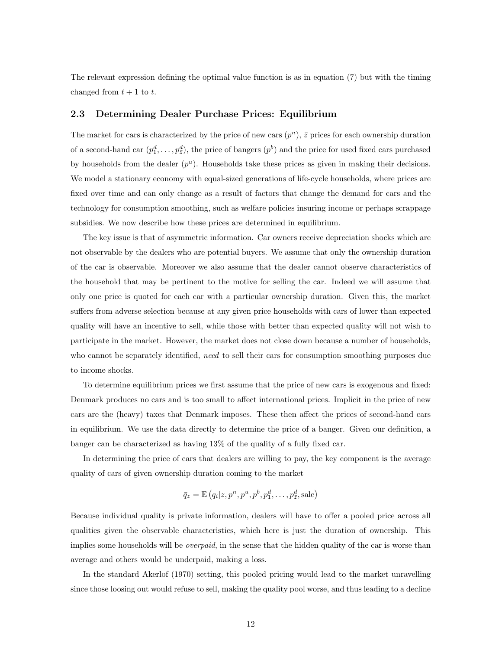The relevant expression defining the optimal value function is as in equation (7) but with the timing changed from  $t + 1$  to t.

#### 2.3 Determining Dealer Purchase Prices: Equilibrium

The market for cars is characterized by the price of new cars  $(p^n)$ ,  $\overline{z}$  prices for each ownership duration of a second-hand car  $(p_1^d, \ldots, p_{\bar{z}}^d)$ , the price of bangers  $(p^b)$  and the price for used fixed cars purchased by households from the dealer  $(p^u)$ . Households take these prices as given in making their decisions. We model a stationary economy with equal-sized generations of life-cycle households, where prices are fixed over time and can only change as a result of factors that change the demand for cars and the technology for consumption smoothing, such as welfare policies insuring income or perhaps scrappage subsidies. We now describe how these prices are determined in equilibrium.

The key issue is that of asymmetric information. Car owners receive depreciation shocks which are not observable by the dealers who are potential buyers. We assume that only the ownership duration of the car is observable. Moreover we also assume that the dealer cannot observe characteristics of the household that may be pertinent to the motive for selling the car. Indeed we will assume that only one price is quoted for each car with a particular ownership duration. Given this, the market suffers from adverse selection because at any given price households with cars of lower than expected quality will have an incentive to sell, while those with better than expected quality will not wish to participate in the market. However, the market does not close down because a number of households, who cannot be separately identified, need to sell their cars for consumption smoothing purposes due to income shocks.

To determine equilibrium prices we first assume that the price of new cars is exogenous and fixed: Denmark produces no cars and is too small to affect international prices. Implicit in the price of new cars are the (heavy) taxes that Denmark imposes. These then affect the prices of second-hand cars in equilibrium. We use the data directly to determine the price of a banger. Given our definition, a banger can be characterized as having 13% of the quality of a fully fixed car.

In determining the price of cars that dealers are willing to pay, the key component is the average quality of cars of given ownership duration coming to the market

$$
\bar{q}_z = \mathbb{E}\left(q_i|z, p^n, p^u, p^b, p_1^d, \dots, p_{\bar{z}}^d, \text{safe}\right)
$$

Because individual quality is private information, dealers will have to offer a pooled price across all qualities given the observable characteristics, which here is just the duration of ownership. This implies some households will be *overpaid*, in the sense that the hidden quality of the car is worse than average and others would be underpaid, making a loss.

In the standard Akerlof (1970) setting, this pooled pricing would lead to the market unravelling since those loosing out would refuse to sell, making the quality pool worse, and thus leading to a decline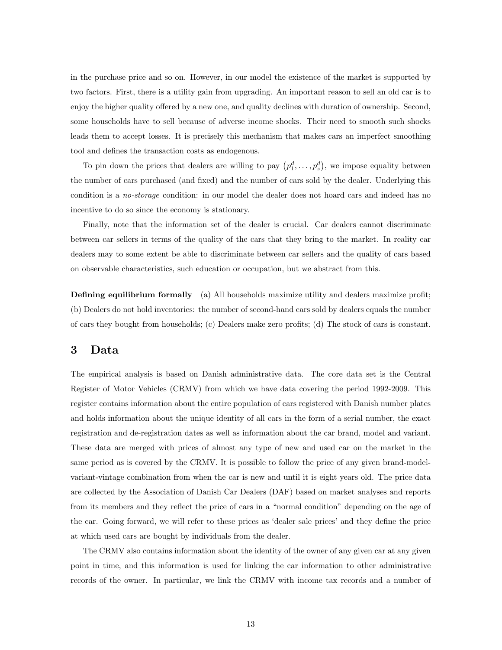in the purchase price and so on. However, in our model the existence of the market is supported by two factors. First, there is a utility gain from upgrading. An important reason to sell an old car is to enjoy the higher quality offered by a new one, and quality declines with duration of ownership. Second, some households have to sell because of adverse income shocks. Their need to smooth such shocks leads them to accept losses. It is precisely this mechanism that makes cars an imperfect smoothing tool and defines the transaction costs as endogenous.

To pin down the prices that dealers are willing to pay  $(p_1^d, \ldots, p_{\bar{z}}^d)$ , we impose equality between the number of cars purchased (and fixed) and the number of cars sold by the dealer. Underlying this condition is a *no-storage* condition: in our model the dealer does not hoard cars and indeed has no incentive to do so since the economy is stationary.

Finally, note that the information set of the dealer is crucial. Car dealers cannot discriminate between car sellers in terms of the quality of the cars that they bring to the market. In reality car dealers may to some extent be able to discriminate between car sellers and the quality of cars based on observable characteristics, such education or occupation, but we abstract from this.

Defining equilibrium formally (a) All households maximize utility and dealers maximize profit; (b) Dealers do not hold inventories: the number of second-hand cars sold by dealers equals the number of cars they bought from households; (c) Dealers make zero profits; (d) The stock of cars is constant.

### 3 Data

The empirical analysis is based on Danish administrative data. The core data set is the Central Register of Motor Vehicles (CRMV) from which we have data covering the period 1992-2009. This register contains information about the entire population of cars registered with Danish number plates and holds information about the unique identity of all cars in the form of a serial number, the exact registration and de-registration dates as well as information about the car brand, model and variant. These data are merged with prices of almost any type of new and used car on the market in the same period as is covered by the CRMV. It is possible to follow the price of any given brand-modelvariant-vintage combination from when the car is new and until it is eight years old. The price data are collected by the Association of Danish Car Dealers (DAF) based on market analyses and reports from its members and they reflect the price of cars in a "normal condition" depending on the age of the car. Going forward, we will refer to these prices as 'dealer sale prices' and they define the price at which used cars are bought by individuals from the dealer.

The CRMV also contains information about the identity of the owner of any given car at any given point in time, and this information is used for linking the car information to other administrative records of the owner. In particular, we link the CRMV with income tax records and a number of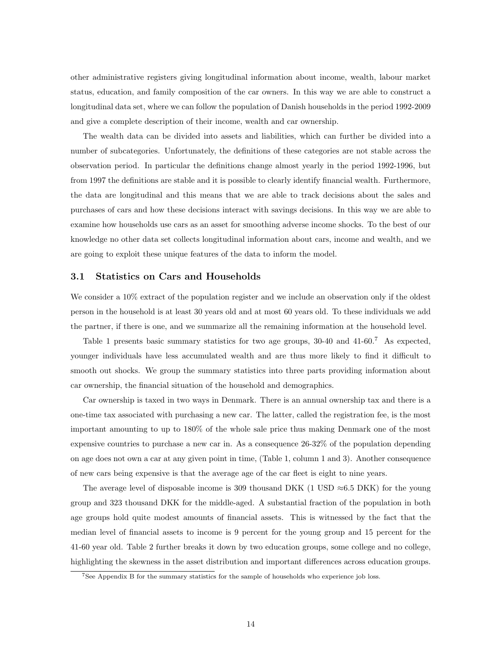other administrative registers giving longitudinal information about income, wealth, labour market status, education, and family composition of the car owners. In this way we are able to construct a longitudinal data set, where we can follow the population of Danish households in the period 1992-2009 and give a complete description of their income, wealth and car ownership.

The wealth data can be divided into assets and liabilities, which can further be divided into a number of subcategories. Unfortunately, the definitions of these categories are not stable across the observation period. In particular the definitions change almost yearly in the period 1992-1996, but from 1997 the definitions are stable and it is possible to clearly identify financial wealth. Furthermore, the data are longitudinal and this means that we are able to track decisions about the sales and purchases of cars and how these decisions interact with savings decisions. In this way we are able to examine how households use cars as an asset for smoothing adverse income shocks. To the best of our knowledge no other data set collects longitudinal information about cars, income and wealth, and we are going to exploit these unique features of the data to inform the model.

#### 3.1 Statistics on Cars and Households

We consider a 10% extract of the population register and we include an observation only if the oldest person in the household is at least 30 years old and at most 60 years old. To these individuals we add the partner, if there is one, and we summarize all the remaining information at the household level.

Table 1 presents basic summary statistics for two age groups, 30-40 and 41-60.<sup>7</sup> As expected, younger individuals have less accumulated wealth and are thus more likely to find it difficult to smooth out shocks. We group the summary statistics into three parts providing information about car ownership, the financial situation of the household and demographics.

Car ownership is taxed in two ways in Denmark. There is an annual ownership tax and there is a one-time tax associated with purchasing a new car. The latter, called the registration fee, is the most important amounting to up to 180% of the whole sale price thus making Denmark one of the most expensive countries to purchase a new car in. As a consequence 26-32% of the population depending on age does not own a car at any given point in time, (Table 1, column 1 and 3). Another consequence of new cars being expensive is that the average age of the car fleet is eight to nine years.

The average level of disposable income is 309 thousand DKK (1 USD  $\approx 6.5$  DKK) for the young group and 323 thousand DKK for the middle-aged. A substantial fraction of the population in both age groups hold quite modest amounts of financial assets. This is witnessed by the fact that the median level of financial assets to income is 9 percent for the young group and 15 percent for the 41-60 year old. Table 2 further breaks it down by two education groups, some college and no college, highlighting the skewness in the asset distribution and important differences across education groups.

<sup>7</sup>See Appendix B for the summary statistics for the sample of households who experience job loss.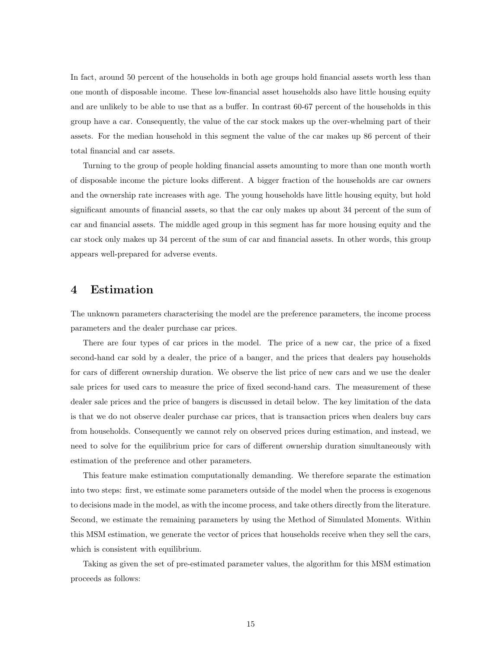In fact, around 50 percent of the households in both age groups hold financial assets worth less than one month of disposable income. These low-financial asset households also have little housing equity and are unlikely to be able to use that as a buffer. In contrast 60-67 percent of the households in this group have a car. Consequently, the value of the car stock makes up the over-whelming part of their assets. For the median household in this segment the value of the car makes up 86 percent of their total financial and car assets.

Turning to the group of people holding financial assets amounting to more than one month worth of disposable income the picture looks different. A bigger fraction of the households are car owners and the ownership rate increases with age. The young households have little housing equity, but hold significant amounts of financial assets, so that the car only makes up about 34 percent of the sum of car and financial assets. The middle aged group in this segment has far more housing equity and the car stock only makes up 34 percent of the sum of car and financial assets. In other words, this group appears well-prepared for adverse events.

### 4 Estimation

The unknown parameters characterising the model are the preference parameters, the income process parameters and the dealer purchase car prices.

There are four types of car prices in the model. The price of a new car, the price of a fixed second-hand car sold by a dealer, the price of a banger, and the prices that dealers pay households for cars of different ownership duration. We observe the list price of new cars and we use the dealer sale prices for used cars to measure the price of fixed second-hand cars. The measurement of these dealer sale prices and the price of bangers is discussed in detail below. The key limitation of the data is that we do not observe dealer purchase car prices, that is transaction prices when dealers buy cars from households. Consequently we cannot rely on observed prices during estimation, and instead, we need to solve for the equilibrium price for cars of different ownership duration simultaneously with estimation of the preference and other parameters.

This feature make estimation computationally demanding. We therefore separate the estimation into two steps: first, we estimate some parameters outside of the model when the process is exogenous to decisions made in the model, as with the income process, and take others directly from the literature. Second, we estimate the remaining parameters by using the Method of Simulated Moments. Within this MSM estimation, we generate the vector of prices that households receive when they sell the cars, which is consistent with equilibrium.

Taking as given the set of pre-estimated parameter values, the algorithm for this MSM estimation proceeds as follows: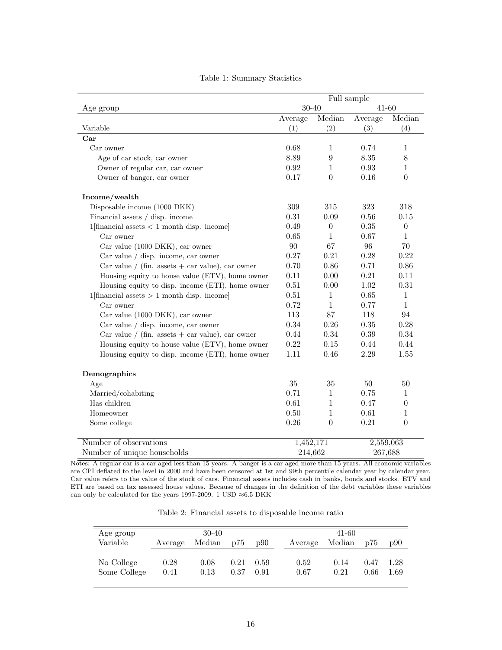|                                                    |            |                  | Full sample |                  |
|----------------------------------------------------|------------|------------------|-------------|------------------|
| Age group                                          |            | $30 - 40$        | $41 - 60$   |                  |
|                                                    | Average    | Median           | Average     | Median           |
| Variable                                           | (1)        | (2)              | (3)         | (4)              |
| Car                                                |            |                  |             |                  |
| Car owner                                          | 0.68       | 1                | 0.74        | 1                |
| Age of car stock, car owner                        | 8.89       | $\boldsymbol{9}$ | 8.35        | 8                |
| Owner of regular car, car owner                    | $\rm 0.92$ | $\mathbf{1}$     | 0.93        | $\mathbf{1}$     |
| Owner of banger, car owner                         | 0.17       | $\boldsymbol{0}$ | 0.16        | $\boldsymbol{0}$ |
| Income/wealth                                      |            |                  |             |                  |
| Disposable income (1000 DKK)                       | 309        | 315              | 323         | 318              |
| Financial assets / disp. income                    | 0.31       | 0.09             | 0.56        | 0.15             |
| $1$ [financial assets $< 1$ month disp. income]    | 0.49       | $\overline{0}$   | 0.35        | $\boldsymbol{0}$ |
| Car owner                                          | 0.65       | $\mathbf{1}$     | 0.67        | $\mathbf{1}$     |
| Car value (1000 DKK), car owner                    | 90         | 67               | 96          | 70               |
| Car value / disp. income, car owner                | 0.27       | 0.21             | 0.28        | 0.22             |
| Car value / (fin. assets $+$ car value), car owner | 0.70       | 0.86             | 0.71        | 0.86             |
| Housing equity to house value (ETV), home owner    | 0.11       | 0.00             | 0.21        | 0.11             |
| Housing equity to disp. income (ETI), home owner   | 0.51       | 0.00             | 1.02        | 0.31             |
| 1[financial assets $> 1$ month disp. income]       | 0.51       | $\mathbf{1}$     | 0.65        | $\mathbf{1}$     |
| Car owner                                          | 0.72       | $\mathbf{1}$     | 0.77        | $\mathbf{1}$     |
| Car value (1000 DKK), car owner                    | 113        | 87               | 118         | 94               |
| Car value / disp. income, car owner                | 0.34       | 0.26             | 0.35        | 0.28             |
| Car value / (fin. assets $+$ car value), car owner | 0.44       | 0.34             | 0.39        | 0.34             |
| Housing equity to house value (ETV), home owner    | 0.22       | 0.15             | 0.44        | 0.44             |
| Housing equity to disp. income (ETI), home owner   | 1.11       | 0.46             | 2.29        | 1.55             |
| Demographics                                       |            |                  |             |                  |
| Age                                                | 35         | 35               | 50          | 50               |
| Married/cohabiting                                 | 0.71       | $\mathbf{1}$     | 0.75        | 1                |
| Has children                                       | 0.61       | $\mathbf{1}$     | 0.47        | $\boldsymbol{0}$ |
| Homeowner                                          | 0.50       | $\mathbf{1}$     | 0.61        | $\mathbf{1}$     |
| Some college                                       | $0.26\,$   | $\theta$         | 0.21        | $\boldsymbol{0}$ |
| Number of observations                             | 1,452,171  |                  | 2,559,063   |                  |
| Number of unique households                        |            | 214,662          | 267,688     |                  |

#### Table 1: Summary Statistics

Notes: A regular car is a car aged less than 15 years. A banger is a car aged more than 15 years. All economic variables are CPI deflated to the level in 2000 and have been censored at 1st and 99th percentile calendar year by calendar year. Car value refers to the value of the stock of cars. Financial assets includes cash in banks, bonds and stocks. ETV and ETI are based on tax assessed house values. Because of changes in the definition of the debt variables these variables can only be calculated for the years 1997-2009. 1 USD  ${\approx}6.5$  DKK

Table 2: Financial assets to disposable income ratio

| Age group                  |              | $30-40$      |              |              |              | 41-60        |              |              |
|----------------------------|--------------|--------------|--------------|--------------|--------------|--------------|--------------|--------------|
| Variable                   | Average      | Median       | p75          | p90          | Average      | Median       | p75          | p90          |
| No College<br>Some College | 0.28<br>0.41 | 0.08<br>0.13 | 0.21<br>0.37 | 0.59<br>0.91 | 0.52<br>0.67 | 0.14<br>0.21 | 0.47<br>0.66 | 1.28<br>1.69 |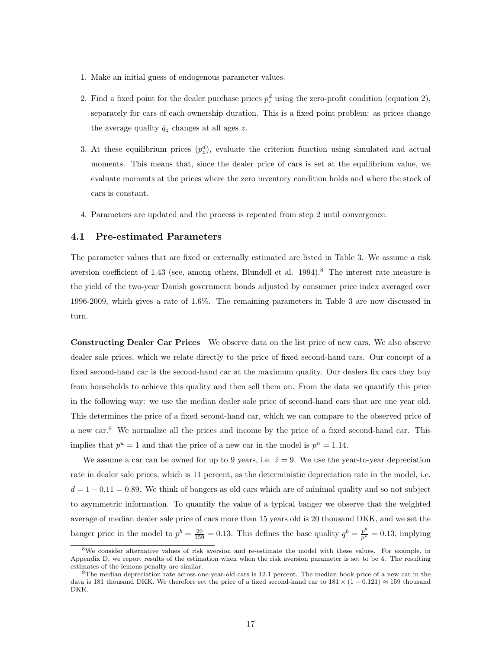- 1. Make an initial guess of endogenous parameter values.
- 2. Find a fixed point for the dealer purchase prices  $p_z^d$  using the zero-profit condition (equation 2), separately for cars of each ownership duration. This is a fixed point problem: as prices change the average quality  $\bar{q}_z$  changes at all ages z.
- 3. At these equilibrium prices  $(p_z^d)$ , evaluate the criterion function using simulated and actual moments. This means that, since the dealer price of cars is set at the equilibrium value, we evaluate moments at the prices where the zero inventory condition holds and where the stock of cars is constant.
- 4. Parameters are updated and the process is repeated from step 2 until convergence.

#### 4.1 Pre-estimated Parameters

The parameter values that are fixed or externally estimated are listed in Table 3. We assume a risk aversion coefficient of 1.43 (see, among others, Blundell et al.  $1994$ ).<sup>8</sup> The interest rate measure is the yield of the two-year Danish government bonds adjusted by consumer price index averaged over 1996-2009, which gives a rate of 1.6%. The remaining parameters in Table 3 are now discussed in turn.

Constructing Dealer Car Prices We observe data on the list price of new cars. We also observe dealer sale prices, which we relate directly to the price of fixed second-hand cars. Our concept of a fixed second-hand car is the second-hand car at the maximum quality. Our dealers fix cars they buy from households to achieve this quality and then sell them on. From the data we quantify this price in the following way: we use the median dealer sale price of second-hand cars that are one year old. This determines the price of a fixed second-hand car, which we can compare to the observed price of a new car.<sup>9</sup> We normalize all the prices and income by the price of a fixed second-hand car. This implies that  $p^u = 1$  and that the price of a new car in the model is  $p^n = 1.14$ .

We assume a car can be owned for up to 9 years, i.e.  $\bar{z} = 9$ . We use the year-to-year depreciation rate in dealer sale prices, which is 11 percent, as the deterministic depreciation rate in the model, i.e.  $d = 1 - 0.11 = 0.89$ . We think of bangers as old cars which are of minimal quality and so not subject to asymmetric information. To quantify the value of a typical banger we observe that the weighted average of median dealer sale price of cars more than 15 years old is 20 thousand DKK, and we set the banger price in the model to  $p^b = \frac{20}{159} = 0.13$ . This defines the base quality  $q^b = \frac{p^b}{p^u} = 0.13$ , implying

<sup>&</sup>lt;sup>8</sup>We consider alternative values of risk aversion and re-estimate the model with these values. For example, in Appendix D, we report results of the estimation when when the risk aversion parameter is set to be 4. The resulting estimates of the lemons penalty are similar.

<sup>9</sup>The median depreciation rate across one-year-old cars is 12.1 percent. The median book price of a new car in the data is 181 thousand DKK. We therefore set the price of a fixed second-hand car to  $181 \times (1 - 0.121) \approx 159$  thousand DKK.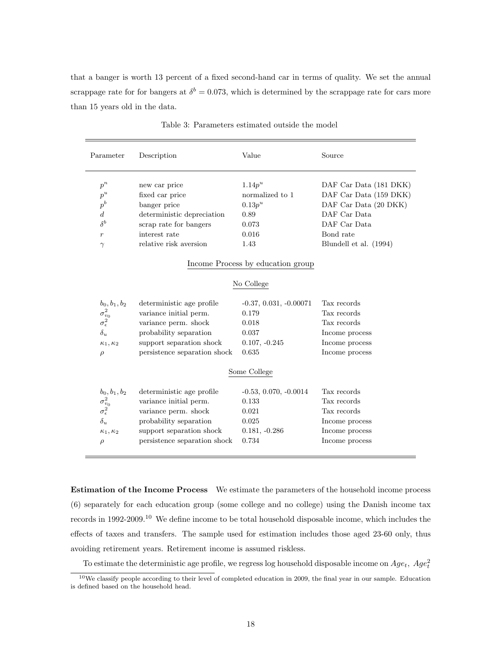that a banger is worth 13 percent of a fixed second-hand car in terms of quality. We set the annual scrappage rate for for bangers at  $\delta^b = 0.073$ , which is determined by the scrappage rate for cars more than 15 years old in the data.

| Description                  |                                                               |                                                                                                         |
|------------------------------|---------------------------------------------------------------|---------------------------------------------------------------------------------------------------------|
|                              | Value                                                         | Source                                                                                                  |
|                              |                                                               | DAF Car Data (181 DKK)                                                                                  |
|                              | normalized to 1                                               | DAF Car Data (159 DKK)                                                                                  |
| banger price                 | $0.13p^u$                                                     | DAF Car Data (20 DKK)                                                                                   |
| deterministic depreciation   | 0.89                                                          | DAF Car Data                                                                                            |
| scrap rate for bangers       | 0.073                                                         | DAF Car Data                                                                                            |
| interest rate                | 0.016                                                         | Bond rate                                                                                               |
| relative risk aversion       | 1.43                                                          | Blundell et al. (1994)                                                                                  |
|                              |                                                               |                                                                                                         |
|                              |                                                               |                                                                                                         |
| deterministic age profile    | $-0.37, 0.031, -0.00071$                                      | Tax records                                                                                             |
| variance initial perm.       | 0.179                                                         | Tax records                                                                                             |
| variance perm. shock         | 0.018                                                         | Tax records                                                                                             |
| probability separation       | 0.037                                                         | Income process                                                                                          |
| support separation shock     | $0.107, -0.245$                                               | Income process                                                                                          |
| persistence separation shock | 0.635                                                         | Income process                                                                                          |
|                              |                                                               |                                                                                                         |
|                              |                                                               | Tax records                                                                                             |
| variance initial perm.       | 0.133                                                         | Tax records                                                                                             |
| variance perm. shock         | 0.021                                                         | Tax records                                                                                             |
| probability separation       | 0.025                                                         | Income process                                                                                          |
| support separation shock     | $0.181, -0.286$                                               | Income process                                                                                          |
| persistence separation shock | 0.734                                                         | Income process                                                                                          |
|                              | new car price<br>fixed car price<br>deterministic age profile | $1.14p^u$<br>Income Process by education group<br>No College<br>Some College<br>$-0.53, 0.070, -0.0014$ |

Table 3: Parameters estimated outside the model

Estimation of the Income Process We estimate the parameters of the household income process (6) separately for each education group (some college and no college) using the Danish income tax records in 1992-2009.<sup>10</sup> We define income to be total household disposable income, which includes the effects of taxes and transfers. The sample used for estimation includes those aged 23-60 only, thus avoiding retirement years. Retirement income is assumed riskless.

To estimate the deterministic age profile, we regress log household disposable income on  $Age_t$ ,  $Age_t^2$ 

 $10$ We classify people according to their level of completed education in 2009, the final year in our sample. Education is defined based on the household head.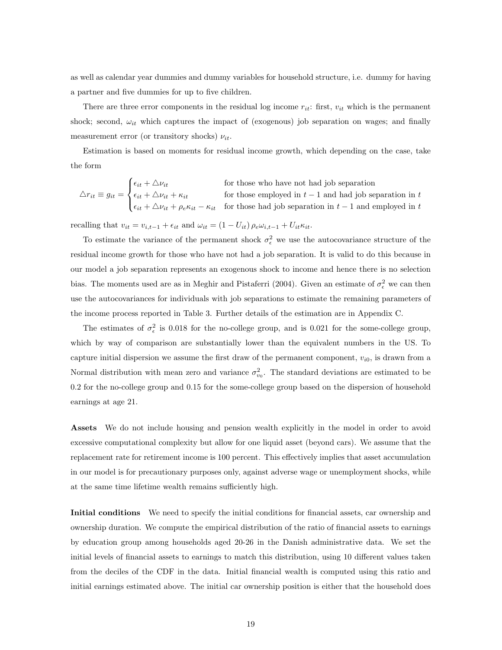as well as calendar year dummies and dummy variables for household structure, i.e. dummy for having a partner and five dummies for up to five children.

There are three error components in the residual log income  $r_{it}$ : first,  $v_{it}$  which is the permanent shock; second,  $\omega_{it}$  which captures the impact of (exogenous) job separation on wages; and finally measurement error (or transitory shocks)  $\nu_{it}$ .

Estimation is based on moments for residual income growth, which depending on the case, take the form

 $\triangle r_{it} \equiv g_{it} =$  $\sqrt{ }$  $\int$  $\overline{a}$  $\epsilon_{it} + \Delta \nu_{it}$  for those who have not had job separation  $\epsilon_{it} + \Delta \nu_{it} + \kappa_{it}$  for those employed in  $t - 1$  and had job separation in t  $\epsilon_{it} + \Delta \nu_{it} + \rho_e \kappa_{it} - \kappa_{it}$  for those had job separation in  $t-1$  and employed in t

recalling that  $v_{it} = v_{i,t-1} + \epsilon_{it}$  and  $\omega_{it} = (1 - U_{it}) \rho_e \omega_{i,t-1} + U_{it} \kappa_{it}$ .

To estimate the variance of the permanent shock  $\sigma_{\epsilon}^2$  we use the autocovariance structure of the residual income growth for those who have not had a job separation. It is valid to do this because in our model a job separation represents an exogenous shock to income and hence there is no selection bias. The moments used are as in Meghir and Pistaferri (2004). Given an estimate of  $\sigma_{\epsilon}^2$  we can then use the autocovariances for individuals with job separations to estimate the remaining parameters of the income process reported in Table 3. Further details of the estimation are in Appendix C.

The estimates of  $\sigma_{\epsilon}^2$  is 0.018 for the no-college group, and is 0.021 for the some-college group, which by way of comparison are substantially lower than the equivalent numbers in the US. To capture initial dispersion we assume the first draw of the permanent component,  $v_{i0}$ , is drawn from a Normal distribution with mean zero and variance  $\sigma_{v_0}^2$ . The standard deviations are estimated to be 0.2 for the no-college group and 0.15 for the some-college group based on the dispersion of household earnings at age 21.

Assets We do not include housing and pension wealth explicitly in the model in order to avoid excessive computational complexity but allow for one liquid asset (beyond cars). We assume that the replacement rate for retirement income is 100 percent. This effectively implies that asset accumulation in our model is for precautionary purposes only, against adverse wage or unemployment shocks, while at the same time lifetime wealth remains sufficiently high.

Initial conditions We need to specify the initial conditions for financial assets, car ownership and ownership duration. We compute the empirical distribution of the ratio of financial assets to earnings by education group among households aged 20-26 in the Danish administrative data. We set the initial levels of financial assets to earnings to match this distribution, using 10 different values taken from the deciles of the CDF in the data. Initial financial wealth is computed using this ratio and initial earnings estimated above. The initial car ownership position is either that the household does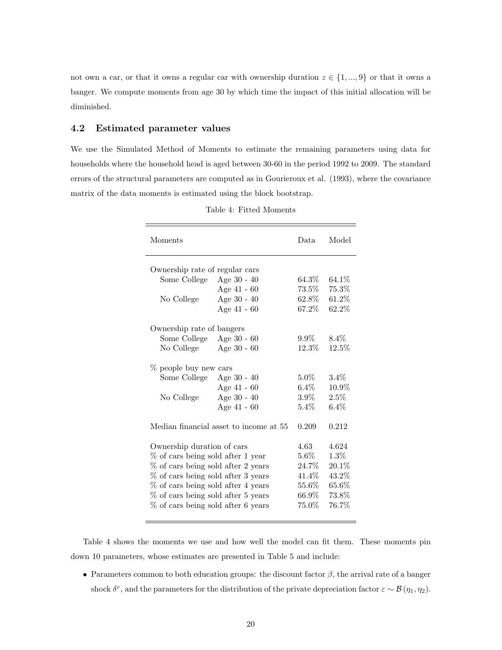not own a car, or that it owns a regular car with ownership duration  $z \in \{1, ..., 9\}$  or that it owns a banger. We compute moments from age 30 by which time the impact of this initial allocation will be diminished.

#### 4.2 Estimated parameter values

We use the Simulated Method of Moments to estimate the remaining parameters using data for households where the household head is aged between 30-60 in the period 1992 to 2009. The standard errors of the structural parameters are computed as in Gourieroux et al. (1993), where the covariance matrix of the data moments is estimated using the block bootstrap.

| Moments                            |                                        | Data     | Model    |
|------------------------------------|----------------------------------------|----------|----------|
| Ownership rate of regular cars     |                                        |          |          |
| Some College                       | Age $30 - 40$                          | $64.3\%$ | $64.1\%$ |
|                                    | Age $41 - 60$                          | $73.5\%$ | 75.3%    |
| No College                         | Age $30 - 40$                          | $62.8\%$ | $61.2\%$ |
|                                    | Age 41 - 60                            | 67.2%    | 62.2%    |
| Ownership rate of bangers          |                                        |          |          |
| Some College                       | Age $30 - 60$                          | $9.9\%$  | $8.4\%$  |
| No College                         | Age $30 - 60$                          | 12.3%    | 12.5%    |
|                                    |                                        |          |          |
| % people buy new cars              |                                        |          |          |
| Some College                       | Age $30 - 40$                          | $5.0\%$  | $3.4\%$  |
|                                    | Age $41 - 60$                          | $6.4\%$  | 10.9%    |
| No College                         | Age 30 - 40                            | $3.9\%$  | 2.5%     |
|                                    | Age $41 - 60$                          | $5.4\%$  | $6.4\%$  |
|                                    | Median financial asset to income at 55 | 0.209    | 0.212    |
| Ownership duration of cars         |                                        | 4.63     | 4.624    |
| % of cars being sold after 1 year  |                                        | $5.6\%$  | $1.3\%$  |
| % of cars being sold after 2 years |                                        | 24.7%    | 20.1%    |
| % of cars being sold after 3 years |                                        | 41.4%    | $43.2\%$ |
| % of cars being sold after 4 years |                                        | $55.6\%$ | $65.6\%$ |
| % of cars being sold after 5 years |                                        | 66.9%    | 73.8%    |
| % of cars being sold after 6 years |                                        | $75.0\%$ | 76.7%    |
|                                    |                                        |          |          |

Table 4: Fitted Moments

Table 4 shows the moments we use and how well the model can fit them. These moments pin down 10 parameters, whose estimates are presented in Table 5 and include:

• Parameters common to both education groups: the discount factor  $\beta$ , the arrival rate of a banger shock  $\delta^r$ , and the parameters for the distribution of the private depreciation factor  $\varepsilon \sim \mathcal{B}(\eta_1, \eta_2)$ .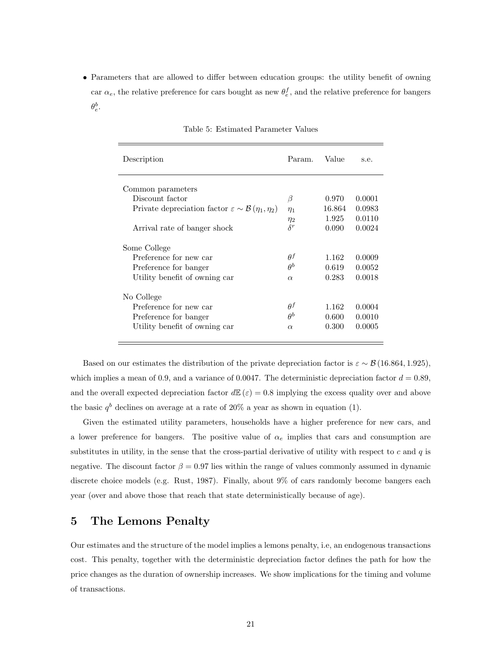• Parameters that are allowed to differ between education groups: the utility benefit of owning car  $\alpha_e$ , the relative preference for cars bought as new  $\theta_e^f$ , and the relative preference for bangers  $\theta_e^b$ .

| Description                                                                | Param.     | Value  | s.e.   |
|----------------------------------------------------------------------------|------------|--------|--------|
| Common parameters                                                          |            |        |        |
| Discount factor                                                            | β          | 0.970  | 0.0001 |
| Private depreciation factor $\varepsilon \sim \mathcal{B}(\eta_1, \eta_2)$ | $\eta_1$   | 16.864 | 0.0983 |
|                                                                            | $\eta_2$   | 1.925  | 0.0110 |
| Arrival rate of banger shock                                               | $\delta^r$ | 0.090  | 0.0024 |
| Some College                                                               |            |        |        |
| Preference for new car                                                     | $\theta^f$ | 1.162  | 0.0009 |
| Preference for banger                                                      | $\theta^b$ | 0.619  | 0.0052 |
| Utility benefit of owning car                                              | $\alpha$   | 0.283  | 0.0018 |
| No College                                                                 |            |        |        |
| Preference for new car                                                     | $\theta^f$ | 1.162  | 0.0004 |
| Preference for banger                                                      | $A^b$      | 0.600  | 0.0010 |
| Utility benefit of owning car                                              | $\alpha$   | 0.300  | 0.0005 |
|                                                                            |            |        |        |

Table 5: Estimated Parameter Values

Based on our estimates the distribution of the private depreciation factor is  $\varepsilon \sim \mathcal{B} (16.864, 1.925)$ , which implies a mean of 0.9, and a variance of 0.0047. The deterministic depreciation factor  $d = 0.89$ , and the overall expected depreciation factor  $d\mathbb{E}(\varepsilon) = 0.8$  implying the excess quality over and above the basic  $q^b$  declines on average at a rate of 20% a year as shown in equation (1).

Given the estimated utility parameters, households have a higher preference for new cars, and a lower preference for bangers. The positive value of  $\alpha_e$  implies that cars and consumption are substitutes in utility, in the sense that the cross-partial derivative of utility with respect to  $c$  and  $q$  is negative. The discount factor  $\beta = 0.97$  lies within the range of values commonly assumed in dynamic discrete choice models (e.g. Rust, 1987). Finally, about 9% of cars randomly become bangers each year (over and above those that reach that state deterministically because of age).

### 5 The Lemons Penalty

Our estimates and the structure of the model implies a lemons penalty, i.e, an endogenous transactions cost. This penalty, together with the deterministic depreciation factor defines the path for how the price changes as the duration of ownership increases. We show implications for the timing and volume of transactions.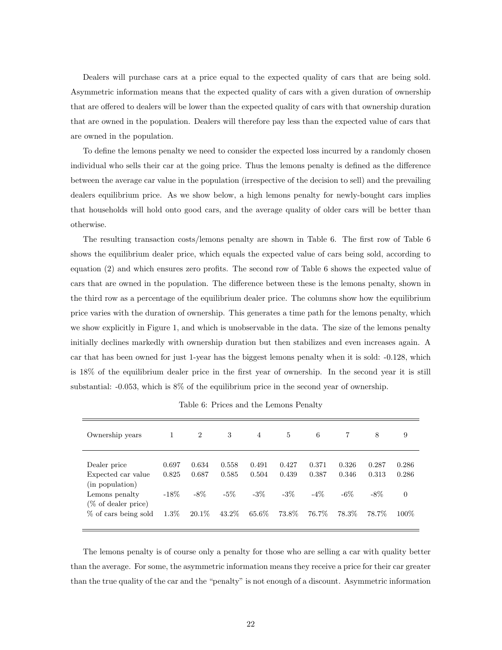Dealers will purchase cars at a price equal to the expected quality of cars that are being sold. Asymmetric information means that the expected quality of cars with a given duration of ownership that are offered to dealers will be lower than the expected quality of cars with that ownership duration that are owned in the population. Dealers will therefore pay less than the expected value of cars that are owned in the population.

To define the lemons penalty we need to consider the expected loss incurred by a randomly chosen individual who sells their car at the going price. Thus the lemons penalty is defined as the difference between the average car value in the population (irrespective of the decision to sell) and the prevailing dealers equilibrium price. As we show below, a high lemons penalty for newly-bought cars implies that households will hold onto good cars, and the average quality of older cars will be better than otherwise.

The resulting transaction costs/lemons penalty are shown in Table 6. The first row of Table 6 shows the equilibrium dealer price, which equals the expected value of cars being sold, according to equation (2) and which ensures zero profits. The second row of Table 6 shows the expected value of cars that are owned in the population. The difference between these is the lemons penalty, shown in the third row as a percentage of the equilibrium dealer price. The columns show how the equilibrium price varies with the duration of ownership. This generates a time path for the lemons penalty, which we show explicitly in Figure 1, and which is unobservable in the data. The size of the lemons penalty initially declines markedly with ownership duration but then stabilizes and even increases again. A car that has been owned for just 1-year has the biggest lemons penalty when it is sold: -0.128, which is 18% of the equilibrium dealer price in the first year of ownership. In the second year it is still substantial: -0.053, which is 8% of the equilibrium price in the second year of ownership.

| Ownership years                       | 1       | $\overline{2}$ | 3      | 4      | 5      | 6      |        | 8      | 9        |
|---------------------------------------|---------|----------------|--------|--------|--------|--------|--------|--------|----------|
| Dealer price                          | 0.697   | 0.634          | 0.558  | 0.491  | 0.427  | 0.371  | 0.326  | 0.287  | 0.286    |
| Expected car value<br>(in population) | 0.825   | 0.687          | 0.585  | 0.504  | 0.439  | 0.387  | 0.346  | 0.313  | 0.286    |
| Lemons penalty<br>(% of dealer price) | $-18\%$ | $-8\%$         | $-5\%$ | $-3\%$ | $-3\%$ | $-4\%$ | $-6\%$ | $-8\%$ | $\theta$ |
| % of cars being sold                  | $1.3\%$ | $20.1\%$       | 43.2\% | 65.6%  | 73.8%  | 76.7%  | 78.3%  | 78.7%  | $100\%$  |

Table 6: Prices and the Lemons Penalty

The lemons penalty is of course only a penalty for those who are selling a car with quality better than the average. For some, the asymmetric information means they receive a price for their car greater than the true quality of the car and the "penalty" is not enough of a discount. Asymmetric information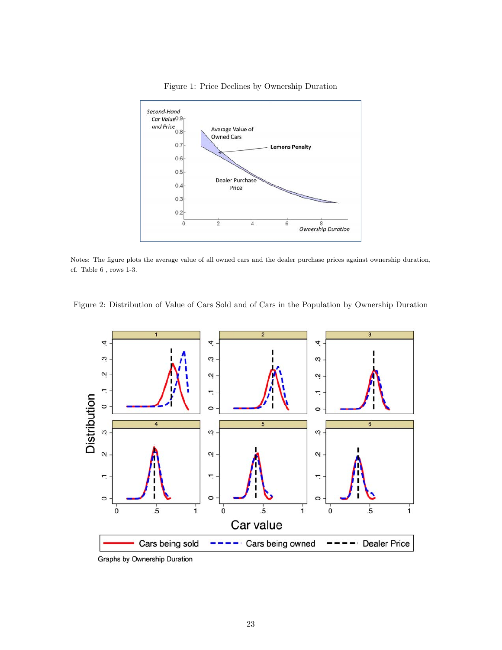

Figure 1: Price Declines by Ownership Duration

Notes: The figure plots the average value of all owned cars and the dealer purchase prices against ownership duration, cf. Table  $6$  , rows 1-3.  $\,$ 

Figure 2: Distribution of Value of Cars Sold and of Cars in the Population by Ownership Duration



Graphs by Ownership Duration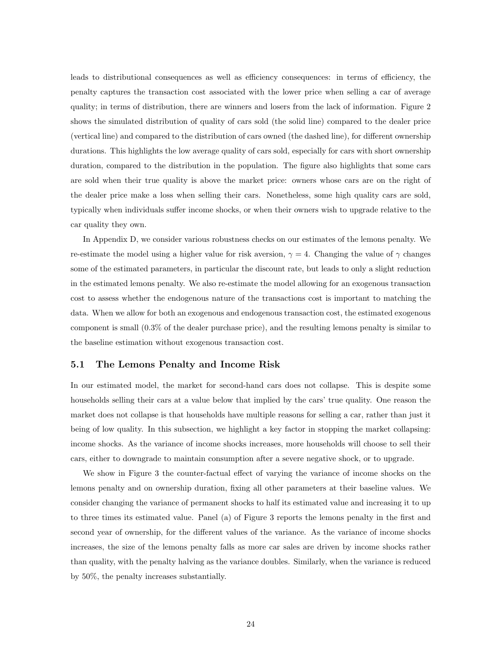leads to distributional consequences as well as efficiency consequences: in terms of efficiency, the penalty captures the transaction cost associated with the lower price when selling a car of average quality; in terms of distribution, there are winners and losers from the lack of information. Figure 2 shows the simulated distribution of quality of cars sold (the solid line) compared to the dealer price (vertical line) and compared to the distribution of cars owned (the dashed line), for different ownership durations. This highlights the low average quality of cars sold, especially for cars with short ownership duration, compared to the distribution in the population. The figure also highlights that some cars are sold when their true quality is above the market price: owners whose cars are on the right of the dealer price make a loss when selling their cars. Nonetheless, some high quality cars are sold, typically when individuals suffer income shocks, or when their owners wish to upgrade relative to the car quality they own.

In Appendix D, we consider various robustness checks on our estimates of the lemons penalty. We re-estimate the model using a higher value for risk aversion,  $\gamma = 4$ . Changing the value of  $\gamma$  changes some of the estimated parameters, in particular the discount rate, but leads to only a slight reduction in the estimated lemons penalty. We also re-estimate the model allowing for an exogenous transaction cost to assess whether the endogenous nature of the transactions cost is important to matching the data. When we allow for both an exogenous and endogenous transaction cost, the estimated exogenous component is small (0.3% of the dealer purchase price), and the resulting lemons penalty is similar to the baseline estimation without exogenous transaction cost.

#### 5.1 The Lemons Penalty and Income Risk

In our estimated model, the market for second-hand cars does not collapse. This is despite some households selling their cars at a value below that implied by the cars' true quality. One reason the market does not collapse is that households have multiple reasons for selling a car, rather than just it being of low quality. In this subsection, we highlight a key factor in stopping the market collapsing: income shocks. As the variance of income shocks increases, more households will choose to sell their cars, either to downgrade to maintain consumption after a severe negative shock, or to upgrade.

We show in Figure 3 the counter-factual effect of varying the variance of income shocks on the lemons penalty and on ownership duration, fixing all other parameters at their baseline values. We consider changing the variance of permanent shocks to half its estimated value and increasing it to up to three times its estimated value. Panel (a) of Figure 3 reports the lemons penalty in the first and second year of ownership, for the different values of the variance. As the variance of income shocks increases, the size of the lemons penalty falls as more car sales are driven by income shocks rather than quality, with the penalty halving as the variance doubles. Similarly, when the variance is reduced by 50%, the penalty increases substantially.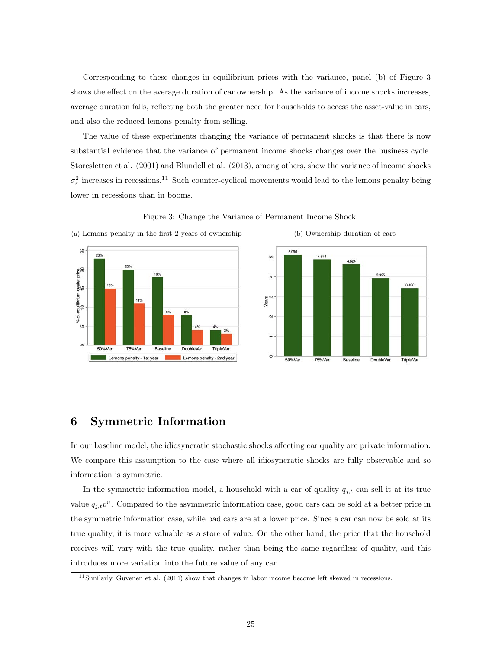Corresponding to these changes in equilibrium prices with the variance, panel (b) of Figure 3 shows the effect on the average duration of car ownership. As the variance of income shocks increases, average duration falls, reflecting both the greater need for households to access the asset-value in cars, and also the reduced lemons penalty from selling.

The value of these experiments changing the variance of permanent shocks is that there is now substantial evidence that the variance of permanent income shocks changes over the business cycle. Storesletten et al. (2001) and Blundell et al. (2013), among others, show the variance of income shocks  $\sigma_{\epsilon}^2$  increases in recessions.<sup>11</sup> Such counter-cyclical movements would lead to the lemons penalty being lower in recessions than in booms.



Figure 3: Change the Variance of Permanent Income Shock



(a) Lemons penalty in the first 2 years of ownership (b) Ownership duration of cars

# 6 Symmetric Information

In our baseline model, the idiosyncratic stochastic shocks affecting car quality are private information. We compare this assumption to the case where all idiosyncratic shocks are fully observable and so information is symmetric.

In the symmetric information model, a household with a car of quality  $q_{j,t}$  can sell it at its true value  $q_{j,t}p^u$ . Compared to the asymmetric information case, good cars can be sold at a better price in the symmetric information case, while bad cars are at a lower price. Since a car can now be sold at its true quality, it is more valuable as a store of value. On the other hand, the price that the household receives will vary with the true quality, rather than being the same regardless of quality, and this introduces more variation into the future value of any car.

<sup>11</sup>Similarly, Guvenen et al. (2014) show that changes in labor income become left skewed in recessions.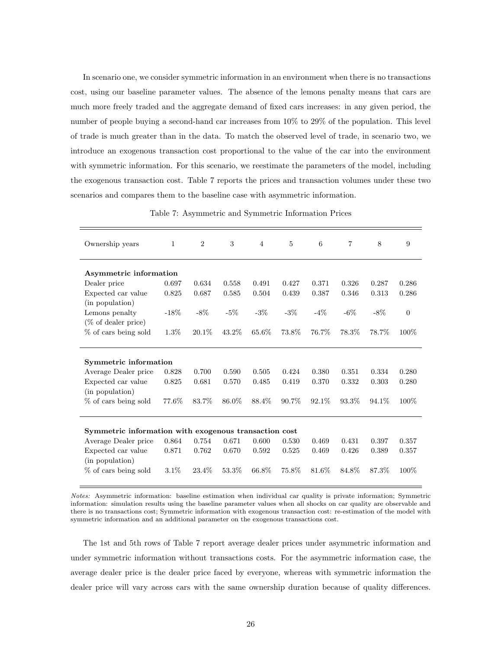In scenario one, we consider symmetric information in an environment when there is no transactions cost, using our baseline parameter values. The absence of the lemons penalty means that cars are much more freely traded and the aggregate demand of fixed cars increases: in any given period, the number of people buying a second-hand car increases from 10% to 29% of the population. This level of trade is much greater than in the data. To match the observed level of trade, in scenario two, we introduce an exogenous transaction cost proportional to the value of the car into the environment with symmetric information. For this scenario, we reestimate the parameters of the model, including the exogenous transaction cost. Table 7 reports the prices and transaction volumes under these two scenarios and compares them to the baseline case with asymmetric information.

| Ownership years                                       | 1       | $\overline{2}$ | 3        | $\overline{4}$ | $\overline{5}$ | 6      | 7        | 8      | 9              |
|-------------------------------------------------------|---------|----------------|----------|----------------|----------------|--------|----------|--------|----------------|
|                                                       |         |                |          |                |                |        |          |        |                |
| Asymmetric information                                |         |                |          |                |                |        |          |        |                |
| Dealer price                                          | 0.697   | 0.634          | 0.558    | 0.491          | 0.427          | 0.371  | 0.326    | 0.287  | 0.286          |
| Expected car value                                    | 0.825   | 0.687          | 0.585    | 0.504          | 0.439          | 0.387  | 0.346    | 0.313  | 0.286          |
| (in population)                                       |         |                |          |                |                |        |          |        |                |
| Lemons penalty                                        | $-18\%$ | $-8\%$         | $-5\%$   | $-3\%$         | $-3\%$         | $-4\%$ | $-6\%$   | $-8\%$ | $\overline{0}$ |
| $(\%$ of dealer price)                                |         |                |          |                |                |        |          |        |                |
| % of cars being sold                                  | $1.3\%$ | $20.1\%$       | $43.2\%$ | 65.6%          | 73.8%          | 76.7%  | 78.3%    | 78.7%  | 100%           |
|                                                       |         |                |          |                |                |        |          |        |                |
|                                                       |         |                |          |                |                |        |          |        |                |
| Symmetric information                                 |         |                |          |                |                |        |          |        |                |
| Average Dealer price                                  | 0.828   | 0.700          | 0.590    | 0.505          | 0.424          | 0.380  | 0.351    | 0.334  | 0.280          |
| Expected car value                                    | 0.825   | 0.681          | 0.570    | 0.485          | 0.419          | 0.370  | 0.332    | 0.303  | 0.280          |
| (in population)                                       |         |                |          |                |                |        |          |        |                |
| % of cars being sold                                  | 77.6%   | 83.7%          | 86.0%    | 88.4%          | 90.7%          | 92.1\% | $93.3\%$ | 94.1\% | 100%           |
|                                                       |         |                |          |                |                |        |          |        |                |
|                                                       |         |                |          |                |                |        |          |        |                |
| Symmetric information with exogenous transaction cost |         |                |          |                |                |        |          |        |                |
| Average Dealer price                                  | 0.864   | 0.754          | 0.671    | 0.600          | 0.530          | 0.469  | 0.431    | 0.397  | 0.357          |
| Expected car value                                    | 0.871   | 0.762          | 0.670    | 0.592          | 0.525          | 0.469  | 0.426    | 0.389  | 0.357          |
| (in population)                                       |         |                |          |                |                |        |          |        |                |
| % of cars being sold                                  | $3.1\%$ | 23.4%          | 53.3%    | 66.8%          | 75.8%          | 81.6%  | 84.8%    | 87.3%  | 100%           |
|                                                       |         |                |          |                |                |        |          |        |                |

Table 7: Asymmetric and Symmetric Information Prices

Notes: Asymmetric information: baseline estimation when individual car quality is private information; Symmetric information: simulation results using the baseline parameter values when all shocks on car quality are observable and there is no transactions cost; Symmetric information with exogenous transaction cost: re-estimation of the model with symmetric information and an additional parameter on the exogenous transactions cost.

The 1st and 5th rows of Table 7 report average dealer prices under asymmetric information and under symmetric information without transactions costs. For the asymmetric information case, the average dealer price is the dealer price faced by everyone, whereas with symmetric information the dealer price will vary across cars with the same ownership duration because of quality differences.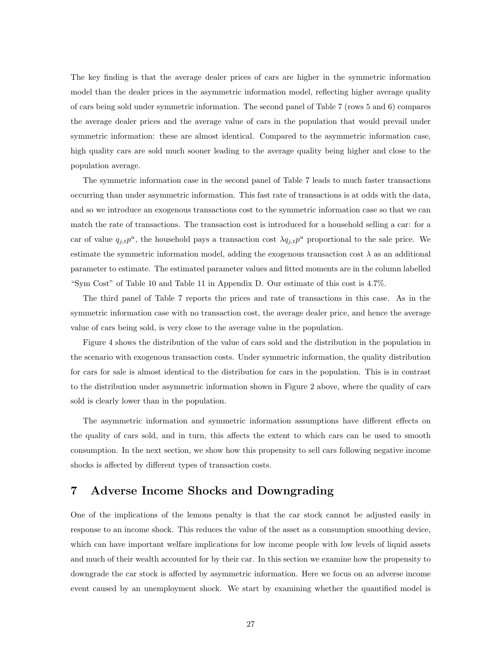The key finding is that the average dealer prices of cars are higher in the symmetric information model than the dealer prices in the asymmetric information model, reflecting higher average quality of cars being sold under symmetric information. The second panel of Table 7 (rows 5 and 6) compares the average dealer prices and the average value of cars in the population that would prevail under symmetric information: these are almost identical. Compared to the asymmetric information case, high quality cars are sold much sooner leading to the average quality being higher and close to the population average.

The symmetric information case in the second panel of Table 7 leads to much faster transactions occurring than under asymmetric information. This fast rate of transactions is at odds with the data, and so we introduce an exogenous transactions cost to the symmetric information case so that we can match the rate of transactions. The transaction cost is introduced for a household selling a car: for a car of value  $q_{j,t}p^u$ , the household pays a transaction cost  $\lambda q_{j,t}p^u$  proportional to the sale price. We estimate the symmetric information model, adding the exogenous transaction cost  $\lambda$  as an additional parameter to estimate. The estimated parameter values and fitted moments are in the column labelled "Sym Cost" of Table 10 and Table 11 in Appendix D. Our estimate of this cost is 4.7%.

The third panel of Table 7 reports the prices and rate of transactions in this case. As in the symmetric information case with no transaction cost, the average dealer price, and hence the average value of cars being sold, is very close to the average value in the population.

Figure 4 shows the distribution of the value of cars sold and the distribution in the population in the scenario with exogenous transaction costs. Under symmetric information, the quality distribution for cars for sale is almost identical to the distribution for cars in the population. This is in contrast to the distribution under asymmetric information shown in Figure 2 above, where the quality of cars sold is clearly lower than in the population.

The asymmetric information and symmetric information assumptions have different effects on the quality of cars sold, and in turn, this affects the extent to which cars can be used to smooth consumption. In the next section, we show how this propensity to sell cars following negative income shocks is affected by different types of transaction costs.

# 7 Adverse Income Shocks and Downgrading

One of the implications of the lemons penalty is that the car stock cannot be adjusted easily in response to an income shock. This reduces the value of the asset as a consumption smoothing device, which can have important welfare implications for low income people with low levels of liquid assets and much of their wealth accounted for by their car. In this section we examine how the propensity to downgrade the car stock is affected by asymmetric information. Here we focus on an adverse income event caused by an unemployment shock. We start by examining whether the quantified model is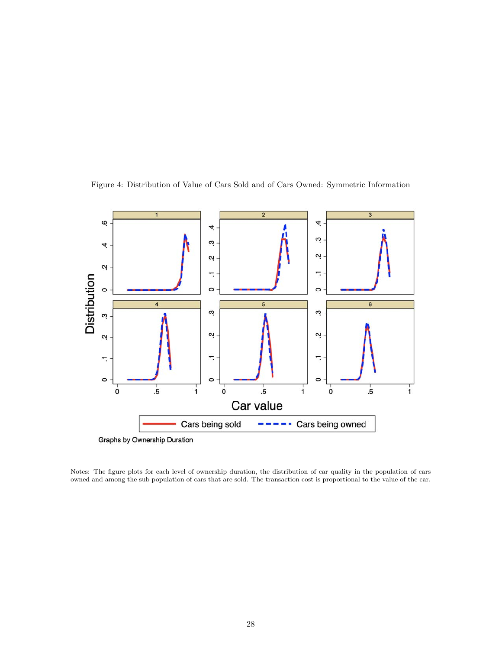

Figure 4: Distribution of Value of Cars Sold and of Cars Owned: Symmetric Information

Notes: The figure plots for each level of ownership duration, the distribution of car quality in the population of cars owned and among the sub population of cars that are sold. The transaction cost is proportional to the value of the car.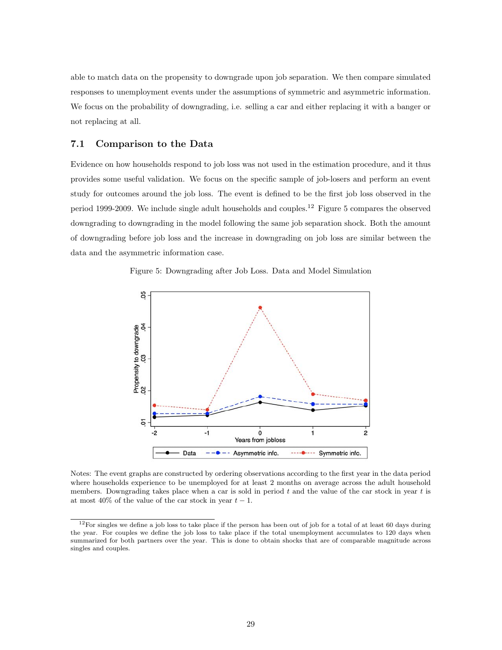able to match data on the propensity to downgrade upon job separation. We then compare simulated responses to unemployment events under the assumptions of symmetric and asymmetric information. We focus on the probability of downgrading, i.e. selling a car and either replacing it with a banger or not replacing at all.

### 7.1 Comparison to the Data

Evidence on how households respond to job loss was not used in the estimation procedure, and it thus provides some useful validation. We focus on the specific sample of job-losers and perform an event study for outcomes around the job loss. The event is defined to be the first job loss observed in the period 1999-2009. We include single adult households and couples.<sup>12</sup> Figure 5 compares the observed downgrading to downgrading in the model following the same job separation shock. Both the amount of downgrading before job loss and the increase in downgrading on job loss are similar between the data and the asymmetric information case.

Figure 5: Downgrading after Job Loss. Data and Model Simulation



Notes: The event graphs are constructed by ordering observations according to the first year in the data period where households experience to be unemployed for at least 2 months on average across the adult household members. Downgrading takes place when a car is sold in period  $t$  and the value of the car stock in year  $t$  is at most 40% of the value of the car stock in year  $t-1$ .

 $12$ For singles we define a job loss to take place if the person has been out of job for a total of at least 60 days during the year. For couples we define the job loss to take place if the total unemployment accumulates to 120 days when summarized for both partners over the year. This is done to obtain shocks that are of comparable magnitude across singles and couples.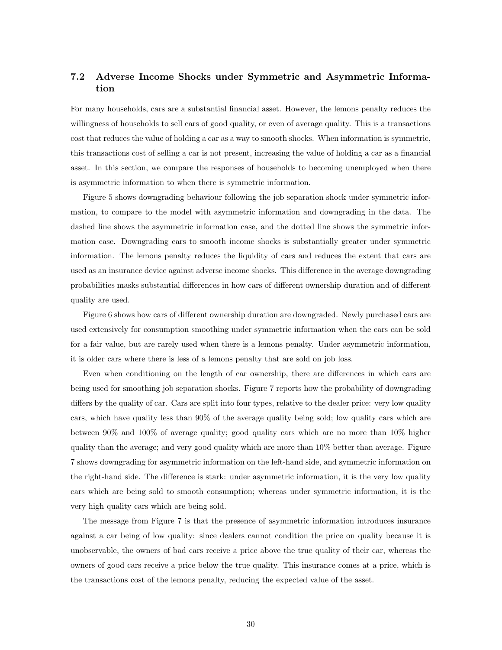### 7.2 Adverse Income Shocks under Symmetric and Asymmetric Information

For many households, cars are a substantial financial asset. However, the lemons penalty reduces the willingness of households to sell cars of good quality, or even of average quality. This is a transactions cost that reduces the value of holding a car as a way to smooth shocks. When information is symmetric, this transactions cost of selling a car is not present, increasing the value of holding a car as a financial asset. In this section, we compare the responses of households to becoming unemployed when there is asymmetric information to when there is symmetric information.

Figure 5 shows downgrading behaviour following the job separation shock under symmetric information, to compare to the model with asymmetric information and downgrading in the data. The dashed line shows the asymmetric information case, and the dotted line shows the symmetric information case. Downgrading cars to smooth income shocks is substantially greater under symmetric information. The lemons penalty reduces the liquidity of cars and reduces the extent that cars are used as an insurance device against adverse income shocks. This difference in the average downgrading probabilities masks substantial differences in how cars of different ownership duration and of different quality are used.

Figure 6 shows how cars of different ownership duration are downgraded. Newly purchased cars are used extensively for consumption smoothing under symmetric information when the cars can be sold for a fair value, but are rarely used when there is a lemons penalty. Under asymmetric information, it is older cars where there is less of a lemons penalty that are sold on job loss.

Even when conditioning on the length of car ownership, there are differences in which cars are being used for smoothing job separation shocks. Figure 7 reports how the probability of downgrading differs by the quality of car. Cars are split into four types, relative to the dealer price: very low quality cars, which have quality less than 90% of the average quality being sold; low quality cars which are between 90% and 100% of average quality; good quality cars which are no more than 10% higher quality than the average; and very good quality which are more than 10% better than average. Figure 7 shows downgrading for asymmetric information on the left-hand side, and symmetric information on the right-hand side. The difference is stark: under asymmetric information, it is the very low quality cars which are being sold to smooth consumption; whereas under symmetric information, it is the very high quality cars which are being sold.

The message from Figure 7 is that the presence of asymmetric information introduces insurance against a car being of low quality: since dealers cannot condition the price on quality because it is unobservable, the owners of bad cars receive a price above the true quality of their car, whereas the owners of good cars receive a price below the true quality. This insurance comes at a price, which is the transactions cost of the lemons penalty, reducing the expected value of the asset.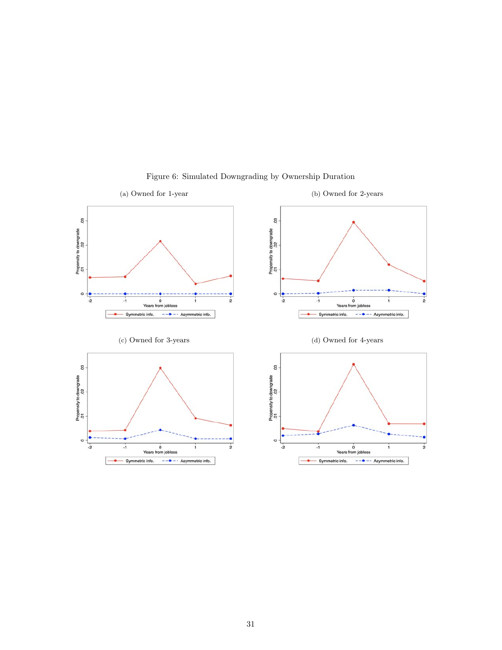

Figure 6: Simulated Downgrading by Ownership Duration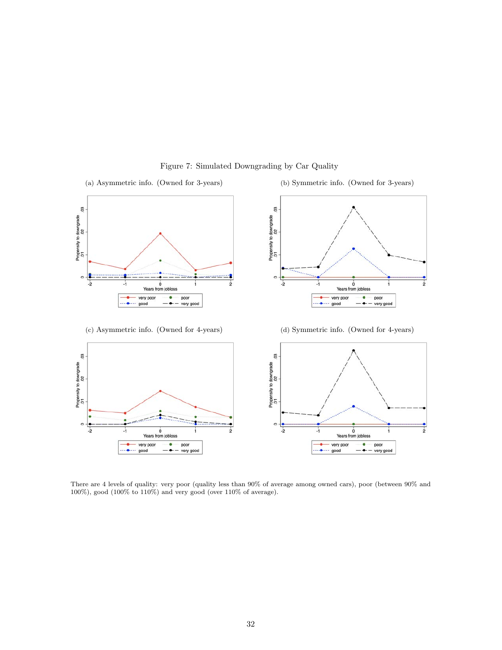

#### Figure 7: Simulated Downgrading by Car Quality

There are 4 levels of quality: very poor (quality less than 90% of average among owned cars), poor (between 90% and 100%), good (100% to 110%) and very good (over 110% of average).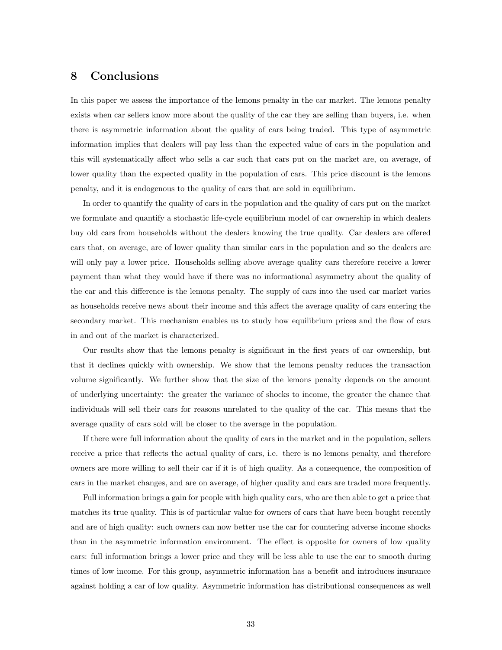### 8 Conclusions

In this paper we assess the importance of the lemons penalty in the car market. The lemons penalty exists when car sellers know more about the quality of the car they are selling than buyers, i.e. when there is asymmetric information about the quality of cars being traded. This type of asymmetric information implies that dealers will pay less than the expected value of cars in the population and this will systematically affect who sells a car such that cars put on the market are, on average, of lower quality than the expected quality in the population of cars. This price discount is the lemons penalty, and it is endogenous to the quality of cars that are sold in equilibrium.

In order to quantify the quality of cars in the population and the quality of cars put on the market we formulate and quantify a stochastic life-cycle equilibrium model of car ownership in which dealers buy old cars from households without the dealers knowing the true quality. Car dealers are offered cars that, on average, are of lower quality than similar cars in the population and so the dealers are will only pay a lower price. Households selling above average quality cars therefore receive a lower payment than what they would have if there was no informational asymmetry about the quality of the car and this difference is the lemons penalty. The supply of cars into the used car market varies as households receive news about their income and this affect the average quality of cars entering the secondary market. This mechanism enables us to study how equilibrium prices and the flow of cars in and out of the market is characterized.

Our results show that the lemons penalty is significant in the first years of car ownership, but that it declines quickly with ownership. We show that the lemons penalty reduces the transaction volume significantly. We further show that the size of the lemons penalty depends on the amount of underlying uncertainty: the greater the variance of shocks to income, the greater the chance that individuals will sell their cars for reasons unrelated to the quality of the car. This means that the average quality of cars sold will be closer to the average in the population.

If there were full information about the quality of cars in the market and in the population, sellers receive a price that reflects the actual quality of cars, i.e. there is no lemons penalty, and therefore owners are more willing to sell their car if it is of high quality. As a consequence, the composition of cars in the market changes, and are on average, of higher quality and cars are traded more frequently.

Full information brings a gain for people with high quality cars, who are then able to get a price that matches its true quality. This is of particular value for owners of cars that have been bought recently and are of high quality: such owners can now better use the car for countering adverse income shocks than in the asymmetric information environment. The effect is opposite for owners of low quality cars: full information brings a lower price and they will be less able to use the car to smooth during times of low income. For this group, asymmetric information has a benefit and introduces insurance against holding a car of low quality. Asymmetric information has distributional consequences as well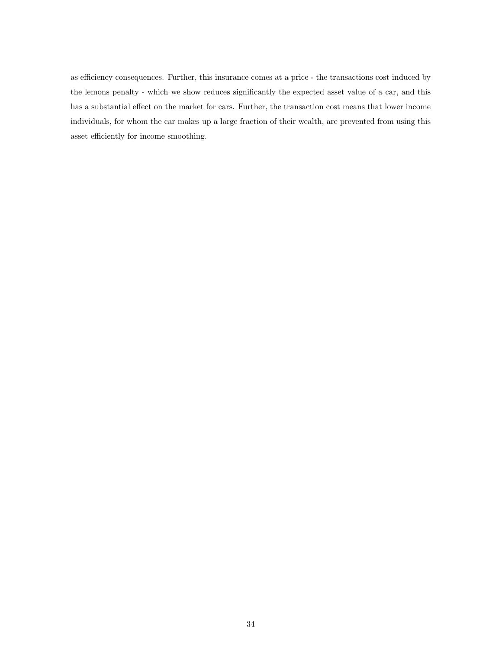as efficiency consequences. Further, this insurance comes at a price - the transactions cost induced by the lemons penalty - which we show reduces significantly the expected asset value of a car, and this has a substantial effect on the market for cars. Further, the transaction cost means that lower income individuals, for whom the car makes up a large fraction of their wealth, are prevented from using this asset efficiently for income smoothing.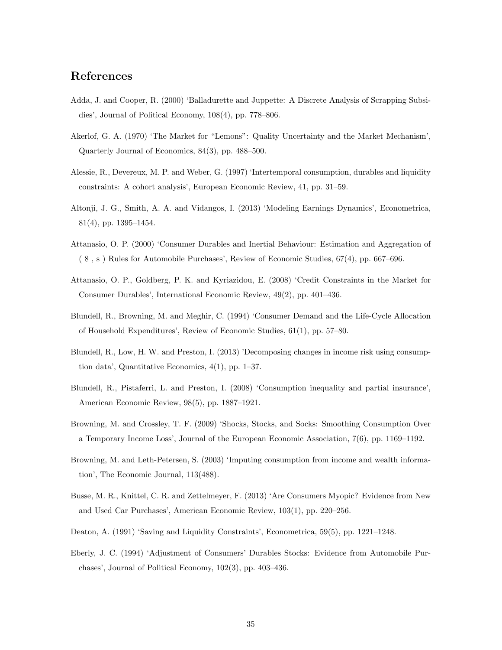### References

- Adda, J. and Cooper, R. (2000) 'Balladurette and Juppette: A Discrete Analysis of Scrapping Subsidies', Journal of Political Economy, 108(4), pp. 778–806.
- Akerlof, G. A. (1970) 'The Market for "Lemons": Quality Uncertainty and the Market Mechanism', Quarterly Journal of Economics, 84(3), pp. 488–500.
- Alessie, R., Devereux, M. P. and Weber, G. (1997) 'Intertemporal consumption, durables and liquidity constraints: A cohort analysis', European Economic Review, 41, pp. 31–59.
- Altonji, J. G., Smith, A. A. and Vidangos, I. (2013) 'Modeling Earnings Dynamics', Econometrica, 81(4), pp. 1395–1454.
- Attanasio, O. P. (2000) 'Consumer Durables and Inertial Behaviour: Estimation and Aggregation of ( 8 , s ) Rules for Automobile Purchases', Review of Economic Studies, 67(4), pp. 667–696.
- Attanasio, O. P., Goldberg, P. K. and Kyriazidou, E. (2008) 'Credit Constraints in the Market for Consumer Durables', International Economic Review, 49(2), pp. 401–436.
- Blundell, R., Browning, M. and Meghir, C. (1994) 'Consumer Demand and the Life-Cycle Allocation of Household Expenditures', Review of Economic Studies, 61(1), pp. 57–80.
- Blundell, R., Low, H. W. and Preston, I. (2013) 'Decomposing changes in income risk using consumption data', Quantitative Economics, 4(1), pp. 1–37.
- Blundell, R., Pistaferri, L. and Preston, I. (2008) 'Consumption inequality and partial insurance', American Economic Review, 98(5), pp. 1887–1921.
- Browning, M. and Crossley, T. F. (2009) 'Shocks, Stocks, and Socks: Smoothing Consumption Over a Temporary Income Loss', Journal of the European Economic Association, 7(6), pp. 1169–1192.
- Browning, M. and Leth-Petersen, S. (2003) 'Imputing consumption from income and wealth information', The Economic Journal, 113(488).
- Busse, M. R., Knittel, C. R. and Zettelmeyer, F. (2013) 'Are Consumers Myopic? Evidence from New and Used Car Purchases', American Economic Review, 103(1), pp. 220–256.
- Deaton, A. (1991) 'Saving and Liquidity Constraints', Econometrica, 59(5), pp. 1221–1248.
- Eberly, J. C. (1994) 'Adjustment of Consumers' Durables Stocks: Evidence from Automobile Purchases', Journal of Political Economy, 102(3), pp. 403–436.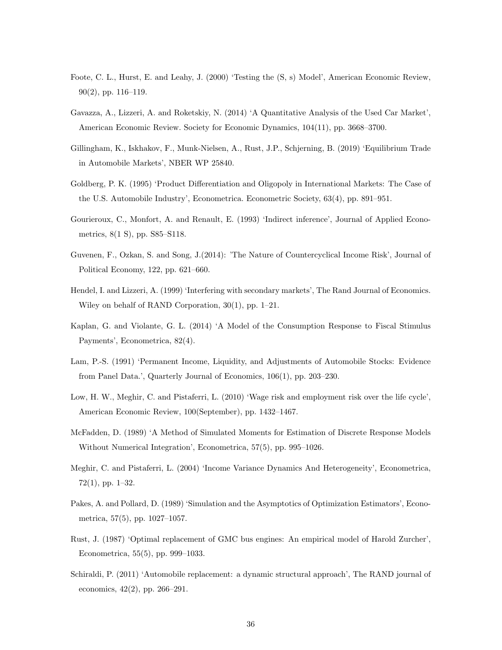- Foote, C. L., Hurst, E. and Leahy, J. (2000) 'Testing the (S, s) Model', American Economic Review,  $90(2)$ , pp. 116–119.
- Gavazza, A., Lizzeri, A. and Roketskiy, N. (2014) 'A Quantitative Analysis of the Used Car Market', American Economic Review. Society for Economic Dynamics, 104(11), pp. 3668–3700.
- Gillingham, K., Iskhakov, F., Munk-Nielsen, A., Rust, J.P., Schjerning, B. (2019) 'Equilibrium Trade in Automobile Markets', NBER WP 25840.
- Goldberg, P. K. (1995) 'Product Differentiation and Oligopoly in International Markets: The Case of the U.S. Automobile Industry', Econometrica. Econometric Society, 63(4), pp. 891–951.
- Gourieroux, C., Monfort, A. and Renault, E. (1993) 'Indirect inference', Journal of Applied Econometrics, 8(1 S), pp. S85–S118.
- Guvenen, F., Ozkan, S. and Song, J.(2014): 'The Nature of Countercyclical Income Risk', Journal of Political Economy, 122, pp. 621–660.
- Hendel, I. and Lizzeri, A. (1999) 'Interfering with secondary markets', The Rand Journal of Economics. Wiley on behalf of RAND Corporation, 30(1), pp. 1–21.
- Kaplan, G. and Violante, G. L. (2014) 'A Model of the Consumption Response to Fiscal Stimulus Payments', Econometrica, 82(4).
- Lam, P.-S. (1991) 'Permanent Income, Liquidity, and Adjustments of Automobile Stocks: Evidence from Panel Data.', Quarterly Journal of Economics, 106(1), pp. 203–230.
- Low, H. W., Meghir, C. and Pistaferri, L. (2010) 'Wage risk and employment risk over the life cycle', American Economic Review, 100(September), pp. 1432–1467.
- McFadden, D. (1989) 'A Method of Simulated Moments for Estimation of Discrete Response Models Without Numerical Integration', Econometrica, 57(5), pp. 995–1026.
- Meghir, C. and Pistaferri, L. (2004) 'Income Variance Dynamics And Heterogeneity', Econometrica, 72(1), pp. 1–32.
- Pakes, A. and Pollard, D. (1989) 'Simulation and the Asymptotics of Optimization Estimators', Econometrica, 57(5), pp. 1027–1057.
- Rust, J. (1987) 'Optimal replacement of GMC bus engines: An empirical model of Harold Zurcher', Econometrica, 55(5), pp. 999–1033.
- Schiraldi, P. (2011) 'Automobile replacement: a dynamic structural approach', The RAND journal of economics, 42(2), pp. 266–291.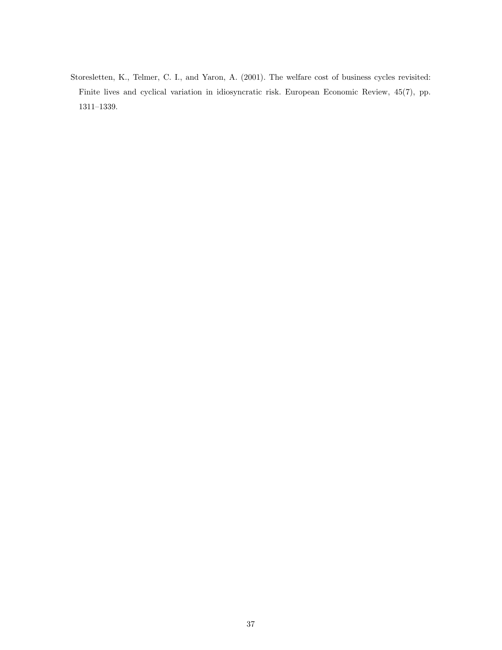Storesletten, K., Telmer, C. I., and Yaron, A. (2001). The welfare cost of business cycles revisited: Finite lives and cyclical variation in idiosyncratic risk. European Economic Review, 45(7), pp. 1311–1339.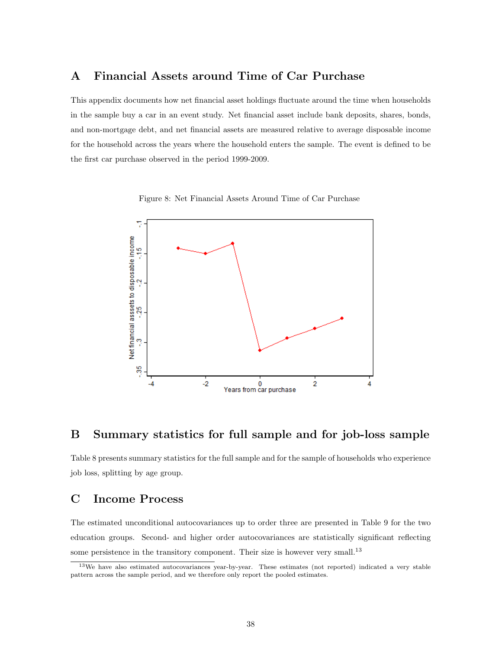# A Financial Assets around Time of Car Purchase

This appendix documents how net financial asset holdings fluctuate around the time when households in the sample buy a car in an event study. Net financial asset include bank deposits, shares, bonds, and non-mortgage debt, and net financial assets are measured relative to average disposable income for the household across the years where the household enters the sample. The event is defined to be the first car purchase observed in the period 1999-2009.

Figure 8: Net Financial Assets Around Time of Car Purchase



### B Summary statistics for full sample and for job-loss sample

Table 8 presents summary statistics for the full sample and for the sample of households who experience job loss, splitting by age group.

# C Income Process

The estimated unconditional autocovariances up to order three are presented in Table 9 for the two education groups. Second- and higher order autocovariances are statistically significant reflecting some persistence in the transitory component. Their size is however very small.<sup>13</sup>

<sup>13</sup>We have also estimated autocovariances year-by-year. These estimates (not reported) indicated a very stable pattern across the sample period, and we therefore only report the pooled estimates.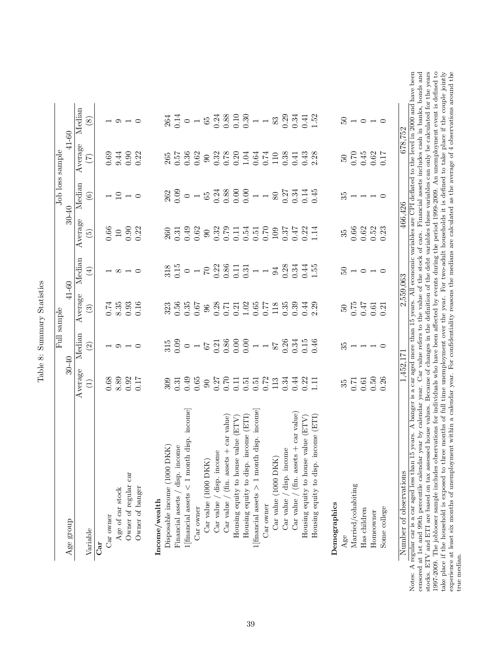| Age group                                            | $30 - 40$                                                                                                                                                                                                                                                                    | Full sample                                                                                                                                                                                                                                                                                                                                                                                                                                     |                                                                                                                                                                                                                                                                                                                      | 41-60                                                                                                                                                                                                                                                                                                                       |                                                            | Job loss sample<br>$30 - 40$                                                                                                                                                                                                                                                                                  | 41-60                                                                                                                                                                                                                                                                                       |                                                                                                                                                                                                                                                                                                                                        |
|------------------------------------------------------|------------------------------------------------------------------------------------------------------------------------------------------------------------------------------------------------------------------------------------------------------------------------------|-------------------------------------------------------------------------------------------------------------------------------------------------------------------------------------------------------------------------------------------------------------------------------------------------------------------------------------------------------------------------------------------------------------------------------------------------|----------------------------------------------------------------------------------------------------------------------------------------------------------------------------------------------------------------------------------------------------------------------------------------------------------------------|-----------------------------------------------------------------------------------------------------------------------------------------------------------------------------------------------------------------------------------------------------------------------------------------------------------------------------|------------------------------------------------------------|---------------------------------------------------------------------------------------------------------------------------------------------------------------------------------------------------------------------------------------------------------------------------------------------------------------|---------------------------------------------------------------------------------------------------------------------------------------------------------------------------------------------------------------------------------------------------------------------------------------------|----------------------------------------------------------------------------------------------------------------------------------------------------------------------------------------------------------------------------------------------------------------------------------------------------------------------------------------|
|                                                      | Average                                                                                                                                                                                                                                                                      | Median                                                                                                                                                                                                                                                                                                                                                                                                                                          | Average                                                                                                                                                                                                                                                                                                              | Median                                                                                                                                                                                                                                                                                                                      | Average                                                    | Median                                                                                                                                                                                                                                                                                                        | Average                                                                                                                                                                                                                                                                                     | Median                                                                                                                                                                                                                                                                                                                                 |
| Variable                                             | $\left( \begin{matrix} 1 \end{matrix} \right)$                                                                                                                                                                                                                               | $\widehat{\Omega}$                                                                                                                                                                                                                                                                                                                                                                                                                              | $\binom{3}{2}$                                                                                                                                                                                                                                                                                                       | $\bigoplus$                                                                                                                                                                                                                                                                                                                 | $\widetilde{5}$                                            | $\odot$                                                                                                                                                                                                                                                                                                       | $\widehat{C}$                                                                                                                                                                                                                                                                               | (8)                                                                                                                                                                                                                                                                                                                                    |
| Car                                                  |                                                                                                                                                                                                                                                                              |                                                                                                                                                                                                                                                                                                                                                                                                                                                 |                                                                                                                                                                                                                                                                                                                      |                                                                                                                                                                                                                                                                                                                             |                                                            |                                                                                                                                                                                                                                                                                                               |                                                                                                                                                                                                                                                                                             |                                                                                                                                                                                                                                                                                                                                        |
| Car owner                                            |                                                                                                                                                                                                                                                                              |                                                                                                                                                                                                                                                                                                                                                                                                                                                 |                                                                                                                                                                                                                                                                                                                      |                                                                                                                                                                                                                                                                                                                             |                                                            |                                                                                                                                                                                                                                                                                                               |                                                                                                                                                                                                                                                                                             |                                                                                                                                                                                                                                                                                                                                        |
| Age of car stock                                     |                                                                                                                                                                                                                                                                              |                                                                                                                                                                                                                                                                                                                                                                                                                                                 |                                                                                                                                                                                                                                                                                                                      |                                                                                                                                                                                                                                                                                                                             |                                                            |                                                                                                                                                                                                                                                                                                               |                                                                                                                                                                                                                                                                                             |                                                                                                                                                                                                                                                                                                                                        |
| Owner of regular car                                 | $0.68$<br>$8.89$<br>$0.92$<br>$0.17$                                                                                                                                                                                                                                         | $\overline{a}$ $\overline{a}$ $\overline{b}$                                                                                                                                                                                                                                                                                                                                                                                                    | $0.74$<br>$8.35$<br>$0.16$<br>$0.16$                                                                                                                                                                                                                                                                                 | $\infty$ $\rightarrow$ $\infty$                                                                                                                                                                                                                                                                                             | $\begin{array}{c} 0.66 \\ 1.0 \\ 0.30 \\ 0.22 \end{array}$ | $-9 - 0$                                                                                                                                                                                                                                                                                                      | 0.69<br>9.44<br>0.22                                                                                                                                                                                                                                                                        | $\circ$ $\circ$                                                                                                                                                                                                                                                                                                                        |
| Owner of banger                                      |                                                                                                                                                                                                                                                                              |                                                                                                                                                                                                                                                                                                                                                                                                                                                 |                                                                                                                                                                                                                                                                                                                      |                                                                                                                                                                                                                                                                                                                             |                                                            |                                                                                                                                                                                                                                                                                                               |                                                                                                                                                                                                                                                                                             |                                                                                                                                                                                                                                                                                                                                        |
| Income/wealth                                        |                                                                                                                                                                                                                                                                              |                                                                                                                                                                                                                                                                                                                                                                                                                                                 |                                                                                                                                                                                                                                                                                                                      |                                                                                                                                                                                                                                                                                                                             |                                                            |                                                                                                                                                                                                                                                                                                               |                                                                                                                                                                                                                                                                                             |                                                                                                                                                                                                                                                                                                                                        |
| (XIX)<br>Disposable income (1000 DI                  |                                                                                                                                                                                                                                                                              |                                                                                                                                                                                                                                                                                                                                                                                                                                                 |                                                                                                                                                                                                                                                                                                                      |                                                                                                                                                                                                                                                                                                                             |                                                            |                                                                                                                                                                                                                                                                                                               |                                                                                                                                                                                                                                                                                             |                                                                                                                                                                                                                                                                                                                                        |
| Financial assets / disp. income                      |                                                                                                                                                                                                                                                                              |                                                                                                                                                                                                                                                                                                                                                                                                                                                 |                                                                                                                                                                                                                                                                                                                      |                                                                                                                                                                                                                                                                                                                             |                                                            |                                                                                                                                                                                                                                                                                                               |                                                                                                                                                                                                                                                                                             |                                                                                                                                                                                                                                                                                                                                        |
| income<br>disp.<br>$1$ [financial assets $< 1$ month |                                                                                                                                                                                                                                                                              |                                                                                                                                                                                                                                                                                                                                                                                                                                                 |                                                                                                                                                                                                                                                                                                                      |                                                                                                                                                                                                                                                                                                                             |                                                            |                                                                                                                                                                                                                                                                                                               | $\begin{array}{c} 265 \\ 0.57 \\ 0.36 \\ 0.62 \end{array}$                                                                                                                                                                                                                                  |                                                                                                                                                                                                                                                                                                                                        |
| Car owner                                            |                                                                                                                                                                                                                                                                              |                                                                                                                                                                                                                                                                                                                                                                                                                                                 |                                                                                                                                                                                                                                                                                                                      |                                                                                                                                                                                                                                                                                                                             |                                                            |                                                                                                                                                                                                                                                                                                               |                                                                                                                                                                                                                                                                                             |                                                                                                                                                                                                                                                                                                                                        |
| $\rm{Car}$ value (1000 $\rm{DKK})$                   |                                                                                                                                                                                                                                                                              |                                                                                                                                                                                                                                                                                                                                                                                                                                                 |                                                                                                                                                                                                                                                                                                                      |                                                                                                                                                                                                                                                                                                                             |                                                            |                                                                                                                                                                                                                                                                                                               |                                                                                                                                                                                                                                                                                             |                                                                                                                                                                                                                                                                                                                                        |
| disp. income<br>Car value                            | $\begin{array}{l} 309\\ 031\\ 049\\ 050\\ 061\\ 071\\ 082\\ 092\\ 012\\ 016\\ 0161\\ 0161\\ 0101\\ 0101\\ 0101\\ 0101\\ 0101\\ 0111\\ 0101\\ 0111\\ 0111\\ 0111\\ 0111\\ 0111\\ 0111\\ 0111\\ 0111\\ 0111\\ 0111\\ 0111\\ 0111\\ 0111\\ 0111\\ 0111\\ 0111\\ 0111\\ 0111\\ $ | $\begin{array}{l} 315 \\ 300 \\ 0 \\ 0 \\ \hline \end{array} \hspace{1.5cm} \begin{array}{l} 0 \\ 0 \\ 0 \\ 0 \\ \hline \end{array} \hspace{1.5cm} \begin{array}{l} 0 \\ 0 \\ 0 \\ 0 \\ \hline \end{array} \hspace{1.5cm} \begin{array}{l} 0 \\ 0 \\ 0 \\ 0 \\ \hline \end{array} \hspace{1.5cm} \begin{array}{l} 0 \\ 0 \\ 0 \\ 0 \\ \hline \end{array} \hspace{1.5cm} \begin{array}{l} 0 \\ 0 \\ 0 \\ 0 \\ \hline \end{array} \hspace{1.5cm}$ | $\begin{array}{cccccccccc} 33 & 5 & 5 & 5 & 6 & 8 & 7 & 7 & 8 & 8 & 7 & 7 & 8 & 8 & 7 & 7 & 8 & 8 & 7 & 7 & 8 & 8 & 7 & 8 & 8 & 7 & 8 & 8 & 7 & 8 & 8 & 7 & 8 & 8 & 7 & 8 & 8 & 7 & 8 & 8 & 7 & 8 & 8 & 7 & 8 & 8 & 7 & 8 & 8 & 7 & 8 & 8 & 7 & 8 & 8 & 7 & 8 & 8 & 7 & 8 & 8 & 7 & 8 & 8 & 7 & 8 & 8 & 7 & 8 & 8 &$ | $33.5 \cup 10.5 \cup 10.5 \cup 10.5 \cup 10.5 \cup 10.5 \cup 10.5 \cup 10.5 \cup 10.5 \cup 10.5 \cup 10.5 \cup 10.5 \cup 10.5 \cup 10.5 \cup 10.5 \cup 10.5 \cup 10.5 \cup 10.5 \cup 10.5 \cup 10.5 \cup 10.5 \cup 10.5 \cup 10.5 \cup 10.5 \cup 10.5 \cup 10.5 \cup 10.5 \cup 10.5 \cup 10.5 \cup 10.5 \cup 10.5 \cup 10.$ |                                                            | $\begin{array}{c} 262 \\ 0.09 \\ 0.09 \\ 0.04 \\ 0.03 \\ 0.00 \\ 0.00 \\ 0.00 \\ 0.00 \\ 0.01 \\ 0.01 \\ 0.01 \\ 0.01 \\ 0.01 \\ 0.01 \\ 0.01 \\ 0.01 \\ 0.01 \\ 0.01 \\ 0.01 \\ 0.01 \\ 0.01 \\ 0.01 \\ 0.01 \\ 0.01 \\ 0.01 \\ 0.01 \\ 0.01 \\ 0.01 \\ 0.01 \\ 0.01 \\ 0.01 \\ 0.01 \\ 0.01 \\ 0.01 \\ 0.0$ | $\begin{array}{c} 9.820 \\ 0.0200 \\ 0.0000 \\ 0.0000 \\ 0.0000 \\ 0.0000 \\ 0.0000 \\ 0.0000 \\ 0.0000 \\ 0.0000 \\ 0.0000 \\ 0.0000 \\ 0.0000 \\ 0.0000 \\ 0.0000 \\ 0.0000 \\ 0.0000 \\ 0.0000 \\ 0.0000 \\ 0.0000 \\ 0.0000 \\ 0.0000 \\ 0.0000 \\ 0.0000 \\ 0.0000 \\ 0.0000 \\ 0.000$ | $\begin{array}{l} 264 \\[-4.0ex] -124 \\[-4.0ex] -124 \\[-4.0ex] -124 \\[-4.0ex] -124 \\[-4.0ex] -124 \\[-4.0ex] -124 \\[-4.0ex] -124 \\[-4.0ex] -124 \\[-4.0ex] -124 \\[-4.0ex] -124 \\[-4.0ex] -124 \\[-4.0ex] -124 \\[-4.0ex] -124 \\[-4.0ex] -124 \\[-4.0ex] -124 \\[-4.0ex] -124 \\[-4.0ex] -124 \\[-4.0ex] -124 \\[-4.0ex] -124$ |
| + car value)<br>Car value / (fin. assets             |                                                                                                                                                                                                                                                                              |                                                                                                                                                                                                                                                                                                                                                                                                                                                 |                                                                                                                                                                                                                                                                                                                      |                                                                                                                                                                                                                                                                                                                             |                                                            |                                                                                                                                                                                                                                                                                                               |                                                                                                                                                                                                                                                                                             |                                                                                                                                                                                                                                                                                                                                        |
| <b>FIL</b><br>value<br>Housing equity to house       |                                                                                                                                                                                                                                                                              |                                                                                                                                                                                                                                                                                                                                                                                                                                                 |                                                                                                                                                                                                                                                                                                                      |                                                                                                                                                                                                                                                                                                                             |                                                            |                                                                                                                                                                                                                                                                                                               |                                                                                                                                                                                                                                                                                             |                                                                                                                                                                                                                                                                                                                                        |
| (ETI)<br>Housing equity to disp. income              |                                                                                                                                                                                                                                                                              |                                                                                                                                                                                                                                                                                                                                                                                                                                                 |                                                                                                                                                                                                                                                                                                                      |                                                                                                                                                                                                                                                                                                                             |                                                            |                                                                                                                                                                                                                                                                                                               |                                                                                                                                                                                                                                                                                             |                                                                                                                                                                                                                                                                                                                                        |
| income<br>$1$ [financial assets $> 1$ month disp.    |                                                                                                                                                                                                                                                                              |                                                                                                                                                                                                                                                                                                                                                                                                                                                 |                                                                                                                                                                                                                                                                                                                      |                                                                                                                                                                                                                                                                                                                             |                                                            |                                                                                                                                                                                                                                                                                                               |                                                                                                                                                                                                                                                                                             |                                                                                                                                                                                                                                                                                                                                        |
| Car owner                                            |                                                                                                                                                                                                                                                                              |                                                                                                                                                                                                                                                                                                                                                                                                                                                 |                                                                                                                                                                                                                                                                                                                      |                                                                                                                                                                                                                                                                                                                             |                                                            |                                                                                                                                                                                                                                                                                                               |                                                                                                                                                                                                                                                                                             |                                                                                                                                                                                                                                                                                                                                        |
| Car value (1000 DKK)                                 |                                                                                                                                                                                                                                                                              |                                                                                                                                                                                                                                                                                                                                                                                                                                                 |                                                                                                                                                                                                                                                                                                                      |                                                                                                                                                                                                                                                                                                                             |                                                            |                                                                                                                                                                                                                                                                                                               |                                                                                                                                                                                                                                                                                             |                                                                                                                                                                                                                                                                                                                                        |
| disp. income<br>Car value $\!$                       |                                                                                                                                                                                                                                                                              |                                                                                                                                                                                                                                                                                                                                                                                                                                                 |                                                                                                                                                                                                                                                                                                                      |                                                                                                                                                                                                                                                                                                                             |                                                            |                                                                                                                                                                                                                                                                                                               |                                                                                                                                                                                                                                                                                             |                                                                                                                                                                                                                                                                                                                                        |
| Car value / (fin. assets $+$ car value)              |                                                                                                                                                                                                                                                                              |                                                                                                                                                                                                                                                                                                                                                                                                                                                 |                                                                                                                                                                                                                                                                                                                      |                                                                                                                                                                                                                                                                                                                             |                                                            |                                                                                                                                                                                                                                                                                                               |                                                                                                                                                                                                                                                                                             |                                                                                                                                                                                                                                                                                                                                        |
| (ETV)<br>value<br>Housing equity to house            |                                                                                                                                                                                                                                                                              |                                                                                                                                                                                                                                                                                                                                                                                                                                                 |                                                                                                                                                                                                                                                                                                                      |                                                                                                                                                                                                                                                                                                                             |                                                            |                                                                                                                                                                                                                                                                                                               |                                                                                                                                                                                                                                                                                             |                                                                                                                                                                                                                                                                                                                                        |
| (ETI)<br>Housing equity to disp. income              |                                                                                                                                                                                                                                                                              |                                                                                                                                                                                                                                                                                                                                                                                                                                                 |                                                                                                                                                                                                                                                                                                                      |                                                                                                                                                                                                                                                                                                                             |                                                            |                                                                                                                                                                                                                                                                                                               |                                                                                                                                                                                                                                                                                             |                                                                                                                                                                                                                                                                                                                                        |
| Demographics                                         |                                                                                                                                                                                                                                                                              |                                                                                                                                                                                                                                                                                                                                                                                                                                                 |                                                                                                                                                                                                                                                                                                                      |                                                                                                                                                                                                                                                                                                                             |                                                            |                                                                                                                                                                                                                                                                                                               |                                                                                                                                                                                                                                                                                             |                                                                                                                                                                                                                                                                                                                                        |
| Age                                                  |                                                                                                                                                                                                                                                                              | $35 -$                                                                                                                                                                                                                                                                                                                                                                                                                                          |                                                                                                                                                                                                                                                                                                                      |                                                                                                                                                                                                                                                                                                                             |                                                            | $\frac{55}{1}$                                                                                                                                                                                                                                                                                                |                                                                                                                                                                                                                                                                                             |                                                                                                                                                                                                                                                                                                                                        |
| Married/cohabiting                                   |                                                                                                                                                                                                                                                                              |                                                                                                                                                                                                                                                                                                                                                                                                                                                 |                                                                                                                                                                                                                                                                                                                      | $\frac{1}{5}$ - 0                                                                                                                                                                                                                                                                                                           |                                                            |                                                                                                                                                                                                                                                                                                               |                                                                                                                                                                                                                                                                                             | $\frac{1}{5}$ - 0                                                                                                                                                                                                                                                                                                                      |
| Has children                                         |                                                                                                                                                                                                                                                                              |                                                                                                                                                                                                                                                                                                                                                                                                                                                 |                                                                                                                                                                                                                                                                                                                      |                                                                                                                                                                                                                                                                                                                             |                                                            |                                                                                                                                                                                                                                                                                                               |                                                                                                                                                                                                                                                                                             |                                                                                                                                                                                                                                                                                                                                        |
| Homeowner                                            | $35$<br>$0.\overline{5}$<br>$0.\overline{5}$<br>$0.\overline{2}$<br>$0.\overline{2}$<br>$0.\overline{2}$                                                                                                                                                                     | $\overline{\phantom{0}}$                                                                                                                                                                                                                                                                                                                                                                                                                        | $\begin{array}{c} 50 \\ 0.75 \\ 0.47 \\ 0.61 \\ 0.21 \end{array}$                                                                                                                                                                                                                                                    | $\overline{a}$                                                                                                                                                                                                                                                                                                              | $35$<br>0.66<br>0.62<br>0.33                               |                                                                                                                                                                                                                                                                                                               | $\begin{array}{c} 50 \\ 70 \\ 0.45 \\ 0.62 \\ 0.17 \end{array}$                                                                                                                                                                                                                             | $\overline{a}$                                                                                                                                                                                                                                                                                                                         |
| Some college                                         |                                                                                                                                                                                                                                                                              |                                                                                                                                                                                                                                                                                                                                                                                                                                                 |                                                                                                                                                                                                                                                                                                                      |                                                                                                                                                                                                                                                                                                                             |                                                            |                                                                                                                                                                                                                                                                                                               |                                                                                                                                                                                                                                                                                             |                                                                                                                                                                                                                                                                                                                                        |
| Number of observations                               | 1,452,17                                                                                                                                                                                                                                                                     |                                                                                                                                                                                                                                                                                                                                                                                                                                                 |                                                                                                                                                                                                                                                                                                                      | 2,559,063                                                                                                                                                                                                                                                                                                                   | 466,426                                                    |                                                                                                                                                                                                                                                                                                               | 678,752                                                                                                                                                                                                                                                                                     |                                                                                                                                                                                                                                                                                                                                        |
|                                                      |                                                                                                                                                                                                                                                                              |                                                                                                                                                                                                                                                                                                                                                                                                                                                 |                                                                                                                                                                                                                                                                                                                      |                                                                                                                                                                                                                                                                                                                             |                                                            |                                                                                                                                                                                                                                                                                                               |                                                                                                                                                                                                                                                                                             |                                                                                                                                                                                                                                                                                                                                        |

Table 8: Summary Statistics Table 8: Summary Statistics been censored at 1st and 99th percentile calendar year by calendar year. Car value refers to the value of the stock of cars. Financial assets includes cash in banks, bonds and stocks. ETV and ETI are based on tax assessed hous Notes: A regular car is a car aged less than 15 years. A banger is a car aged more than 15 years. All economic variables are CPI deflated to the level in 2000 and have been take place if the household is exposed to three months of full time unemployment over the year. For two-adult households it is defined to take place if the couple jointly censored at 1st and 99th percentile calendar year by calendar year. Car value refers to the value of the stock of cars. Financial assets includes cash in banks, bonds and stocks. ETV and ETI are based on tax assessed house values. Because of changes in the definition of the debt variables these variables can only be calculated for the years 1997-2009. The joblooser sample includes observations for individuals who have been affected by events during the period 1999-2009. An unemployment event is defined to experience at least six months of unemployment within a calendar year. For confidentiality reasons the medians are calculated as the average of 4 observations around the true median. true median. Notes: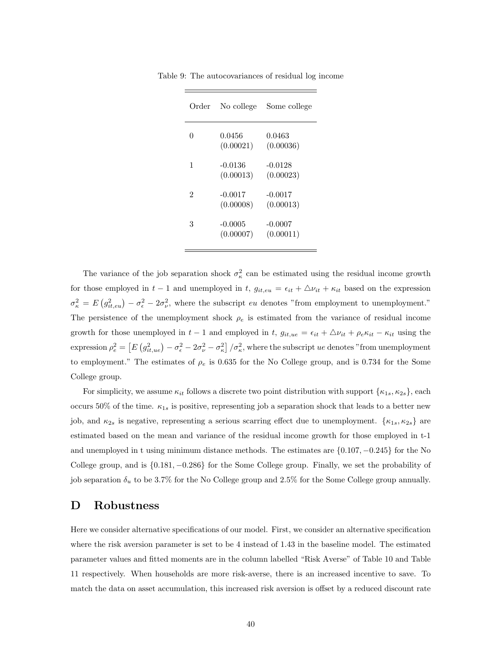| Order | No college             | Some college           |
|-------|------------------------|------------------------|
| 0     | 0.0456<br>(0.00021)    | 0.0463<br>(0.00036)    |
| 1     | -0.0136<br>(0.00013)   | $-0.0128$<br>(0.00023) |
| 2     | $-0.0017$<br>(0.00008) | $-0.0017$<br>(0.00013) |
| 3     | $-0.0005$<br>(0.00007) | $-0.0007$<br>(0.00011) |

Table 9: The autocovariances of residual log income

The variance of the job separation shock  $\sigma_{\kappa}^2$  can be estimated using the residual income growth for those employed in t – 1 and unemployed in t,  $g_{it,eu} = \epsilon_{it} + \Delta v_{it} + \kappa_{it}$  based on the expression  $\sigma_{\kappa}^2 = E(g_{it,eu}^2) - \sigma_{\epsilon}^2 - 2\sigma_{\nu}^2$ , where the subscript *eu* denotes "from employment to unemployment." The persistence of the unemployment shock  $\rho_e$  is estimated from the variance of residual income growth for those unemployed in  $t - 1$  and employed in t,  $g_{it,ue} = \epsilon_{it} + \Delta v_{it} + \rho_e \kappa_{it} - \kappa_{it}$  using the expression  $\rho_e^2 = \left[ E \left( g_{it,ue}^2 \right) - \sigma_\epsilon^2 - 2\sigma_\nu^2 - \sigma_\kappa^2 \right] / \sigma_\kappa^2$ , where the subscript *ue* denotes "from unemployment to employment." The estimates of  $\rho_e$  is 0.635 for the No College group, and is 0.734 for the Some College group.

For simplicity, we assume  $\kappa_{it}$  follows a discrete two point distribution with support  $\{\kappa_{1s}, \kappa_{2s}\}\)$ , each occurs 50% of the time.  $\kappa_{1s}$  is positive, representing job a separation shock that leads to a better new job, and  $\kappa_{2s}$  is negative, representing a serious scarring effect due to unemployment.  $\{\kappa_{1s}, \kappa_{2s}\}$  are estimated based on the mean and variance of the residual income growth for those employed in t-1 and unemployed in t using minimum distance methods. The estimates are {0.107, −0.245} for the No College group, and is {0.181, −0.286} for the Some College group. Finally, we set the probability of job separation  $\delta_u$  to be 3.7% for the No College group and 2.5% for the Some College group annually.

### D Robustness

Here we consider alternative specifications of our model. First, we consider an alternative specification where the risk aversion parameter is set to be 4 instead of 1.43 in the baseline model. The estimated parameter values and fitted moments are in the column labelled "Risk Averse" of Table 10 and Table 11 respectively. When households are more risk-averse, there is an increased incentive to save. To match the data on asset accumulation, this increased risk aversion is offset by a reduced discount rate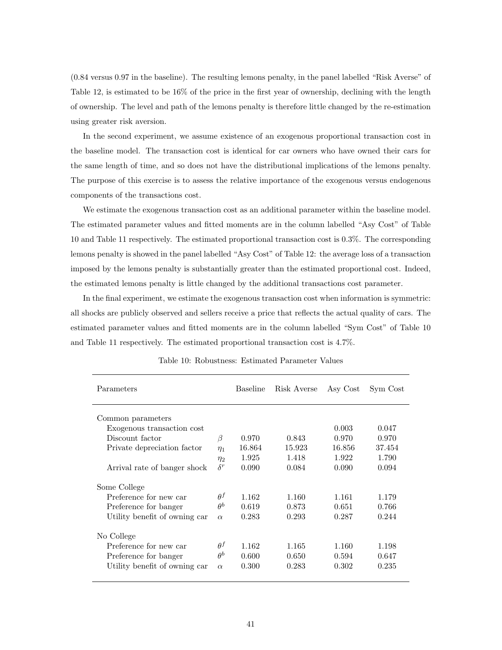(0.84 versus 0.97 in the baseline). The resulting lemons penalty, in the panel labelled "Risk Averse" of Table 12, is estimated to be 16% of the price in the first year of ownership, declining with the length of ownership. The level and path of the lemons penalty is therefore little changed by the re-estimation using greater risk aversion.

In the second experiment, we assume existence of an exogenous proportional transaction cost in the baseline model. The transaction cost is identical for car owners who have owned their cars for the same length of time, and so does not have the distributional implications of the lemons penalty. The purpose of this exercise is to assess the relative importance of the exogenous versus endogenous components of the transactions cost.

We estimate the exogenous transaction cost as an additional parameter within the baseline model. The estimated parameter values and fitted moments are in the column labelled "Asy Cost" of Table 10 and Table 11 respectively. The estimated proportional transaction cost is 0.3%. The corresponding lemons penalty is showed in the panel labelled "Asy Cost" of Table 12: the average loss of a transaction imposed by the lemons penalty is substantially greater than the estimated proportional cost. Indeed, the estimated lemons penalty is little changed by the additional transactions cost parameter.

In the final experiment, we estimate the exogenous transaction cost when information is symmetric: all shocks are publicly observed and sellers receive a price that reflects the actual quality of cars. The estimated parameter values and fitted moments are in the column labelled "Sym Cost" of Table 10 and Table 11 respectively. The estimated proportional transaction cost is 4.7%.

| Parameters                    |            | Baseline | Risk Averse | Asy Cost | Sym Cost |
|-------------------------------|------------|----------|-------------|----------|----------|
| Common parameters             |            |          |             |          |          |
| Exogenous transaction cost    |            |          |             | 0.003    | 0.047    |
| Discount factor               | β          | 0.970    | 0.843       | 0.970    | 0.970    |
| Private depreciation factor   | $\eta_1$   | 16.864   | 15.923      | 16.856   | 37.454   |
|                               | $\eta_2$   | 1.925    | 1.418       | 1.922    | 1.790    |
| Arrival rate of banger shock  |            | 0.090    | 0.084       | 0.090    | 0.094    |
| Some College                  |            |          |             |          |          |
| Preference for new car        | $\theta^f$ | 1.162    | 1.160       | 1.161    | 1.179    |
| Preference for banger         | $\theta^b$ | 0.619    | 0.873       | 0.651    | 0.766    |
| Utility benefit of owning car | $\alpha$   | 0.283    | 0.293       | 0.287    | 0.244    |
| No College                    |            |          |             |          |          |
| Preference for new car        | $\theta^f$ | 1.162    | 1.165       | 1.160    | 1.198    |
| Preference for banger         | $\theta^b$ | 0.600    | 0.650       | 0.594    | 0.647    |
| Utility benefit of owning car | $\alpha$   | 0.300    | 0.283       | 0.302    | 0.235    |

Table 10: Robustness: Estimated Parameter Values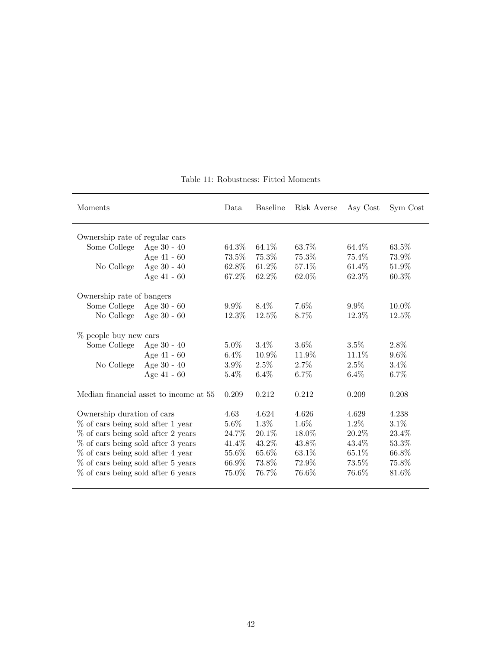| Moments                            |                                        | Data    | <b>Baseline</b> | Risk Averse | Asy Cost | Sym Cost |
|------------------------------------|----------------------------------------|---------|-----------------|-------------|----------|----------|
| Ownership rate of regular cars     |                                        |         |                 |             |          |          |
| Some College                       | Age $30 - 40$                          | 64.3\%  | 64.1\%          | 63.7%       | 64.4\%   | 63.5%    |
|                                    | Age 41 - 60                            | 73.5%   | 75.3%           | 75.3%       | 75.4%    | 73.9%    |
| No College                         | Age 30 - 40                            | 62.8%   | 61.2%           | 57.1\%      | 61.4\%   | 51.9%    |
|                                    | Age 41 - 60                            | 67.2%   | 62.2%           | 62.0%       | 62.3%    | 60.3%    |
| Ownership rate of bangers          |                                        |         |                 |             |          |          |
| Some College                       | Age $30 - 60$                          | $9.9\%$ | $8.4\%$         | $7.6\%$     | $9.9\%$  | $10.0\%$ |
| No College                         | Age $30 - 60$                          | 12.3\%  | $12.5\%$        | 8.7%        | $12.3\%$ | 12.5%    |
| % people buy new cars              |                                        |         |                 |             |          |          |
| Some College                       | Age $30 - 40$                          | $5.0\%$ | $3.4\%$         | $3.6\%$     | $3.5\%$  | 2.8%     |
|                                    | Age 41 - 60                            | $6.4\%$ | 10.9%           | 11.9%       | $11.1\%$ | $9.6\%$  |
| No College                         | Age $30 - 40$                          | $3.9\%$ | $2.5\%$         | $2.7\%$     | $2.5\%$  | $3.4\%$  |
|                                    | Age $41 - 60$                          | 5.4%    | $6.4\%$         | 6.7%        | 6.4%     | $6.7\%$  |
|                                    | Median financial asset to income at 55 | 0.209   | 0.212           | 0.212       | 0.209    | 0.208    |
| Ownership duration of cars         |                                        | 4.63    | 4.624           | 4.626       | 4.629    | 4.238    |
| % of cars being sold after 1 year  |                                        | 5.6%    | 1.3%            | 1.6%        | 1.2%     | $3.1\%$  |
| % of cars being sold after 2 years |                                        | 24.7%   | $20.1\%$        | 18.0%       | $20.2\%$ | 23.4%    |
| % of cars being sold after 3 years |                                        | 41.4%   | 43.2%           | 43.8%       | 43.4%    | 53.3%    |
| % of cars being sold after 4 year  |                                        | 55.6%   | 65.6%           | 63.1%       | 65.1%    | 66.8%    |
| % of cars being sold after 5 years |                                        | 66.9%   | 73.8%           | 72.9%       | 73.5%    | 75.8%    |
| % of cars being sold after 6 years |                                        | 75.0%   | 76.7%           | 76.6%       | 76.6%    | 81.6%    |

Table 11: Robustness: Fitted Moments